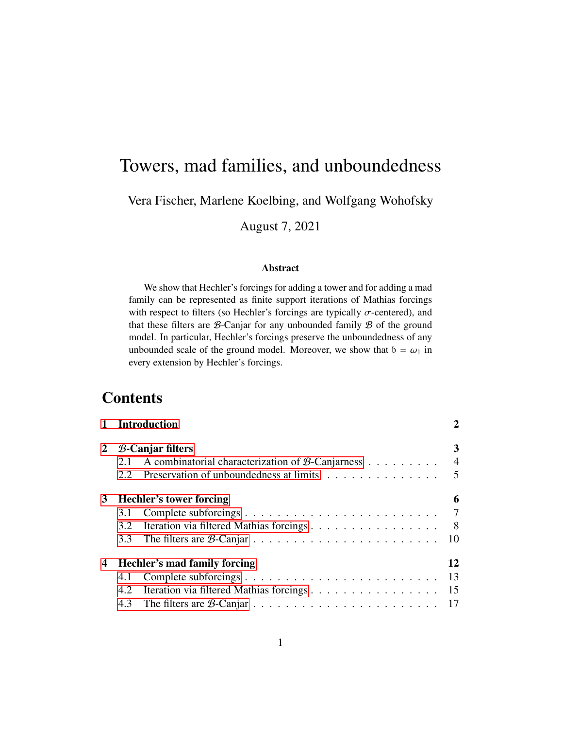# Towers, mad families, and unboundedness

Vera Fischer, Marlene Koelbing, and Wolfgang Wohofsky

August 7, 2021

### Abstract

We show that Hechler's forcings for adding a tower and for adding a mad family can be represented as finite support iterations of Mathias forcings with respect to filters (so Hechler's forcings are typically  $\sigma$ -centered), and that these filters are  $\beta$ -Canjar for any unbounded family  $\beta$  of the ground model. In particular, Hechler's forcings preserve the unboundedness of any unbounded scale of the ground model. Moreover, we show that  $b = \omega_1$  in every extension by Hechler's forcings.

# **Contents**

|   | 1 Introduction<br>$B$ -Canjar filters                       |                                            |    |  |  |  |  |
|---|-------------------------------------------------------------|--------------------------------------------|----|--|--|--|--|
| 2 |                                                             |                                            |    |  |  |  |  |
|   | 2.1 A combinatorial characterization of $\beta$ -Canjarness |                                            |    |  |  |  |  |
|   | 2.2                                                         | Preservation of unboundedness at limits    | 5  |  |  |  |  |
| 3 | <b>Hechler's tower forcing</b>                              |                                            |    |  |  |  |  |
|   | 3.1                                                         |                                            |    |  |  |  |  |
|   | 3.2                                                         | Iteration via filtered Mathias forcings    | 8  |  |  |  |  |
|   | 3.3                                                         |                                            |    |  |  |  |  |
| 4 | 12<br>Hechler's mad family forcing                          |                                            |    |  |  |  |  |
|   | 4.1                                                         |                                            | 13 |  |  |  |  |
|   | 4.2                                                         | Iteration via filtered Mathias forcings 15 |    |  |  |  |  |
|   |                                                             |                                            |    |  |  |  |  |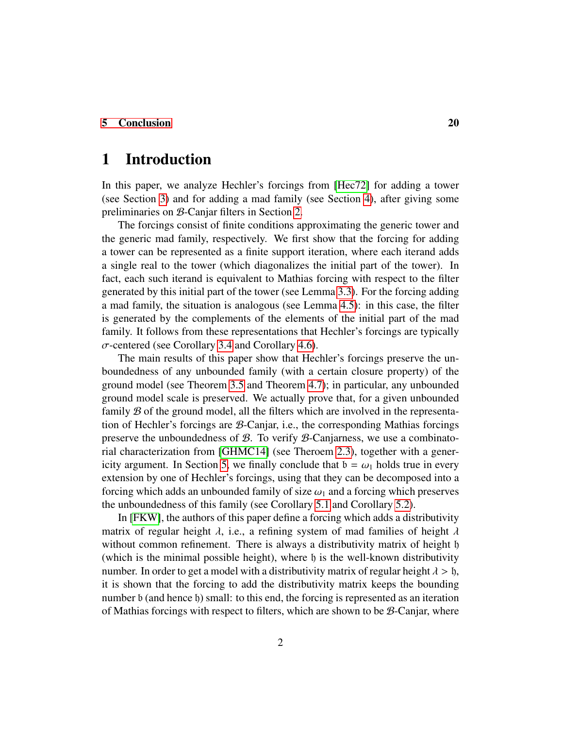## [5 Conclusion](#page-19-0) 20

# <span id="page-1-0"></span>1 Introduction

In this paper, we analyze Hechler's forcings from [\[Hec72\]](#page-21-0) for adding a tower (see Section [3\)](#page-5-0) and for adding a mad family (see Section [4\)](#page-11-0), after giving some preliminaries on B-Canjar filters in Section [2.](#page-2-0)

The forcings consist of finite conditions approximating the generic tower and the generic mad family, respectively. We first show that the forcing for adding a tower can be represented as a finite support iteration, where each iterand adds a single real to the tower (which diagonalizes the initial part of the tower). In fact, each such iterand is equivalent to Mathias forcing with respect to the filter generated by this initial part of the tower (see Lemma [3.3\)](#page-7-1). For the forcing adding a mad family, the situation is analogous (see Lemma [4.5\)](#page-15-0): in this case, the filter is generated by the complements of the elements of the initial part of the mad family. It follows from these representations that Hechler's forcings are typically  $\sigma$ -centered (see Corollary [3.4](#page-9-1) and Corollary [4.6\)](#page-16-1).

The main results of this paper show that Hechler's forcings preserve the unboundedness of any unbounded family (with a certain closure property) of the ground model (see Theorem [3.5](#page-9-2) and Theorem [4.7\)](#page-17-0); in particular, any unbounded ground model scale is preserved. We actually prove that, for a given unbounded family  $\mathcal B$  of the ground model, all the filters which are involved in the representation of Hechler's forcings are B-Canjar, i.e., the corresponding Mathias forcings preserve the unboundedness of  $\mathcal{B}$ . To verify  $\mathcal{B}$ -Canjarness, we use a combinatorial characterization from [\[GHMC14\]](#page-20-0) (see Theroem [2.3\)](#page-3-1), together with a gener-icity argument. In Section [5,](#page-19-0) we finally conclude that  $b = \omega_1$  holds true in every extension by one of Hechler's forcings, using that they can be decomposed into a forcing which adds an unbounded family of size  $\omega_1$  and a forcing which preserves the unboundedness of this family (see Corollary [5.1](#page-19-1) and Corollary [5.2\)](#page-20-1).

In [\[FKW\]](#page-20-2), the authors of this paper define a forcing which adds a distributivity matrix of regular height  $\lambda$ , i.e., a refining system of mad families of height  $\lambda$ without common refinement. There is always a distributivity matrix of height h (which is the minimal possible height), where  $\mathfrak h$  is the well-known distributivity number. In order to get a model with a distributivity matrix of regular height  $\lambda > \mathfrak{h}$ , it is shown that the forcing to add the distributivity matrix keeps the bounding number b (and hence h) small: to this end, the forcing is represented as an iteration of Mathias forcings with respect to filters, which are shown to be  $\mathcal{B}$ -Canjar, where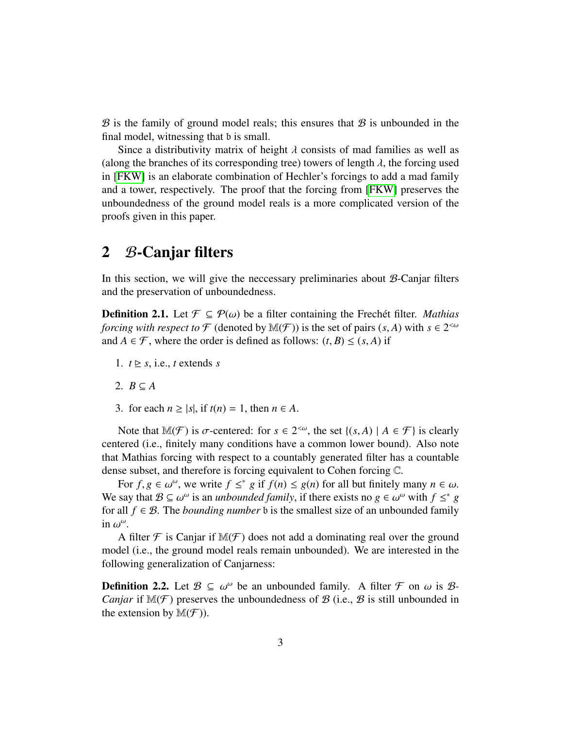$\mathcal B$  is the family of ground model reals; this ensures that  $\mathcal B$  is unbounded in the final model, witnessing that b is small.

Since a distributivity matrix of height  $\lambda$  consists of mad families as well as (along the branches of its corresponding tree) towers of length  $\lambda$ , the forcing used in [\[FKW\]](#page-20-2) is an elaborate combination of Hechler's forcings to add a mad family and a tower, respectively. The proof that the forcing from [\[FKW\]](#page-20-2) preserves the unboundedness of the ground model reals is a more complicated version of the proofs given in this paper.

# <span id="page-2-0"></span>2 B-Canjar filters

In this section, we will give the neccessary preliminaries about  $B$ -Canjar filters and the preservation of unboundedness.

<span id="page-2-1"></span>**Definition 2.1.** Let  $\mathcal{F} \subseteq \mathcal{P}(\omega)$  be a filter containing the Frechet filter. *Mathias forcing with respect to*  $\mathcal F$  (denoted by  $\mathbb M(\mathcal F)$ ) is the set of pairs  $(s, A)$  with  $s \in 2^{< \omega}$ <br>and  $A \in \mathcal F$  where the order is defined as follows:  $(t, B) \leq (s, A)$  if and  $A \in \mathcal{F}$ , where the order is defined as follows:  $(t, B) \le (s, A)$  if

- 1.  $t \geq s$ , i.e., *t* extends *s*
- 2.  $B \subseteq A$
- 3. for each  $n \ge |s|$ , if  $t(n) = 1$ , then  $n \in A$ .

Note that  $\mathbb{M}(\mathcal{F})$  is  $\sigma$ -centered: for  $s \in 2^{<\omega}$ , the set  $\{(s, A) \mid A \in \mathcal{F}\}\)$  is clearly tered (*i* e finitely many conditions have a common lower bound). Also note centered (i.e., finitely many conditions have a common lower bound). Also note that Mathias forcing with respect to a countably generated filter has a countable dense subset, and therefore is forcing equivalent to Cohen forcing C.

For  $f, g \in \omega^{\omega}$ , we write  $f \leq^* g$  if  $f(n) \leq g(n)$  for all but finitely many  $n \in \omega$ .<br>say that  $\mathcal{R} \subset \omega^{\omega}$  is an *unhounded family*, if there exists no  $g \in \omega^{\omega}$  with  $f \leq^* g$ We say that  $\mathcal{B} \subseteq \omega^{\omega}$  is an *unbounded family*, if there exists no  $g \in \omega^{\omega}$  with  $f \leq^* g$  for all  $f \in \mathcal{B}$ . The *hounding number* h is the smallest size of an unbounded family for all  $f \in \mathcal{B}$ . The *bounding number* b is the smallest size of an unbounded family in  $\omega^{\omega}$ .

A filter  $\mathcal F$  is Canjar if  $\mathbb M(\mathcal F)$  does not add a dominating real over the ground model (i.e., the ground model reals remain unbounded). We are interested in the following generalization of Canjarness:

**Definition 2.2.** Let  $\mathcal{B} \subseteq \omega^{\omega}$  be an unbounded family. A filter  $\mathcal{F}$  on  $\omega$  is  $\mathcal{B}$ -<br>*Caniar* if  $\mathbb{M}(\mathcal{F})$  preserves the unboundedness of  $\mathcal{B}$  (i.e.,  $\mathcal{B}$  is still unbounded in *Canjar* if  $\mathbb{M}(\mathcal{F})$  preserves the unboundedness of B (i.e., B is still unbounded in the extension by  $\mathbb{M}(\mathcal{F})$ ).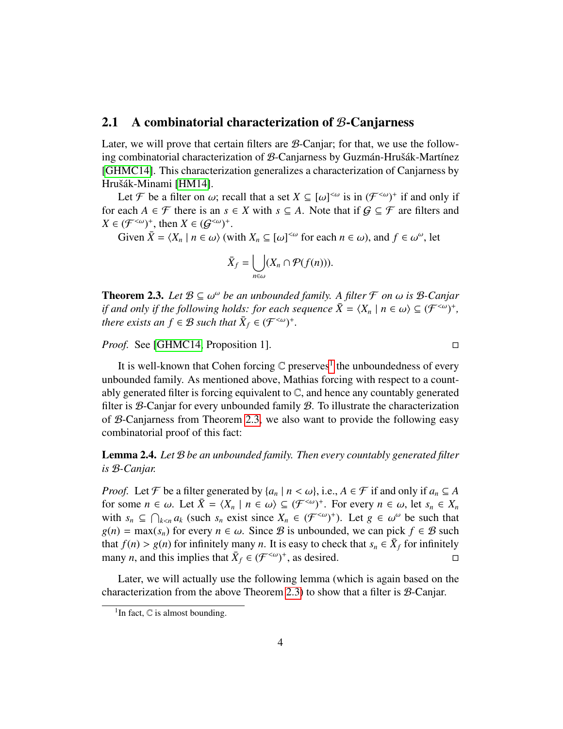## <span id="page-3-0"></span>2.1 A combinatorial characterization of B-Canjarness

Later, we will prove that certain filters are  $\mathcal{B}$ -Canjar; for that, we use the following combinatorial characterization of  $B$ -Canjarness by Guzmán-Hrušák-Martínez [\[GHMC14\]](#page-20-0). This characterization generalizes a characterization of Canjarness by Hrušák-Minami [\[HM14\]](#page-21-1).

Let *F* be a filter on  $\omega$ ; recall that a set  $X \subseteq [\omega]^{<\omega}$  is in  $(F^{<\omega})^+$  if and only if<br>each  $A \in F$  there is an  $s \in X$  with  $s \subset A$ . Note that if  $G \subset F$  are filters and for each  $A \in \mathcal{F}$  there is an  $s \in X$  with  $s \subseteq A$ . Note that if  $\mathcal{G} \subseteq \mathcal{F}$  are filters and  $X \in (\mathcal{F}^{<\omega})^+$ , then  $X \in (\mathcal{G}^{<\omega})^+$ .

Given  $\bar{X} = \langle X_n | n \in \omega \rangle$  (with  $X_n \subseteq [\omega]^{<\omega}$  for each  $n \in \omega$ ), and  $f \in \omega^{\omega}$ , let

$$
\bar{X}_f = \bigcup_{n \in \omega} (X_n \cap \mathcal{P}(f(n))).
$$

<span id="page-3-1"></span>**Theorem 2.3.** *Let*  $B \subseteq \omega^{\omega}$  *be an unbounded family. A filter*  $\mathcal{F}$  *on*  $\omega$  *is*  $B$ *-Canjar if and only if the following holds: for each sequence*  $\bar{X} - \langle X \rangle \mid n \in \omega$ )  $\subset (\mathcal{F}^{<\omega})^+$ *if and only if the following holds: for each sequence*  $\bar{X} = \langle X_n | n \in \omega \rangle \subseteq (\mathcal{F}^{<\omega})^+$ , there exists an  $f \in \mathcal{B}$  such that  $\bar{X} \in (\mathcal{F}^{<\omega})^+$ *there exists an*  $f \in \mathcal{B}$  *such that*  $\bar{X}_f \in (\mathcal{F}^{<\omega})^+$ *.* 

*Proof.* See [\[GHMC14,](#page-20-0) Proposition 1]. □

It is well-known that Cohen forcing  $\mathbb C$  preserves<sup>[1](#page-3-2)</sup> the unboundedness of every unbounded family. As mentioned above, Mathias forcing with respect to a countably generated filter is forcing equivalent to C, and hence any countably generated filter is  $B$ -Canjar for every unbounded family  $B$ . To illustrate the characterization of B-Canjarness from Theorem [2.3,](#page-3-1) we also want to provide the following easy combinatorial proof of this fact:

<span id="page-3-3"></span>Lemma 2.4. *Let* B *be an unbounded family. Then every countably generated filter is* B*-Canjar.*

*Proof.* Let  $\mathcal F$  be a filter generated by  $\{a_n \mid n < \omega\}$ , i.e.,  $A \in \mathcal F$  if and only if  $a_n \subseteq A$ for some  $n \in \omega$ . Let  $\bar{X} = \langle X_n | n \in \omega \rangle \subseteq (\mathcal{F}^{\langle \omega \rangle})^+$ . For every  $n \in \omega$ , let  $s_n \in X_n$ <br>with  $s_n \subseteq \bigcap_{\omega \in \Omega} a_{\omega}$  (such  $s_n$  exist since  $X_n \in (\mathcal{F}^{\langle \omega \rangle})^+$ ). Let  $g_n \in \omega^\omega$  be such that with  $s_n \subseteq \bigcap_{k \le n} a_k$  (such  $s_n$  exist since  $X_n \in (\mathcal{F}^{\le \omega})^+$ ). Let  $g \in \omega^\omega$  be such that  $g(n) = \max(s)$  for every  $n \in \omega$ . Since *R* is unbounded, we can pick  $f \in \mathcal{R}$  such  $g(n) = \max(s_n)$  for every  $n \in \omega$ . Since B is unbounded, we can pick  $f \in \mathcal{B}$  such that *f*(*n*) > *g*(*n*) for infinitely many *n*. It is easy to check that  $s_n \in \overline{X}_f$  for infinitely many *n* and this implies that  $\overline{X}_s \in (\mathcal{F}^{\leq \omega})^+$  as desired many *n*, and this implies that  $\bar{X}_f \in (\mathcal{F}^{<\omega})^+$ , as desired.

Later, we will actually use the following lemma (which is again based on the characterization from the above Theorem [2.3\)](#page-3-1) to show that a filter is B-Canjar.

<span id="page-3-2"></span><sup>&</sup>lt;sup>1</sup>In fact,  $\mathbb C$  is almost bounding.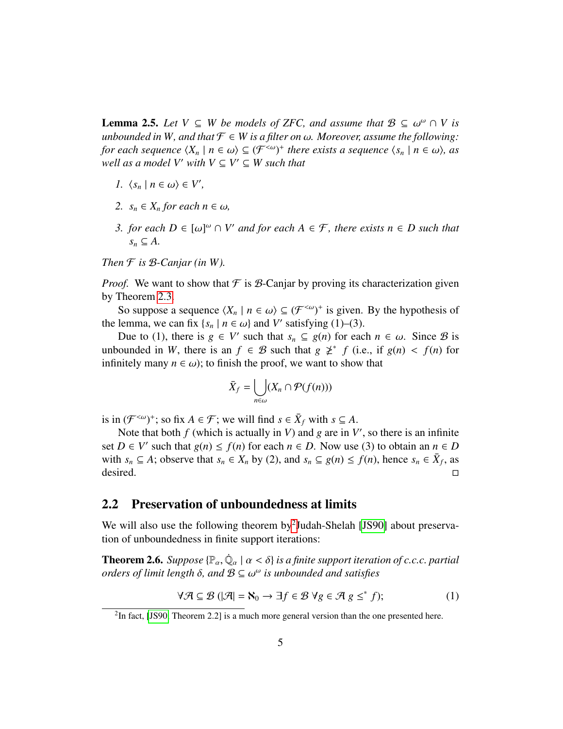<span id="page-4-4"></span>**Lemma 2.5.** *Let*  $V \subseteq W$  *be models of ZFC, and assume that*  $B \subseteq \omega^{\omega} \cap V$  *is* unbounded in W, and that  $F \subseteq W$  is a filter on  $\omega$ . Moreover, assume the following: *unbounded in W, and that*  $\mathcal{F} \in W$  *is a filter on*  $\omega$ *. Moreover, assume the following: for each sequence*  $\langle X_n | n \in \omega \rangle \subseteq (\mathcal{F}^{<\omega})^+$  *there exists a sequence*  $\langle s_n | n \in \omega \rangle$ *, as*<br>*well as a model V' with V*  $\subset$  *V'*  $\subset$  *W such that*  $well$  *as a model V' with*  $V \subseteq V' \subseteq W$  *such that* 

- *1.*  $\langle s_n | n \in \omega \rangle \in V'$ ,
- *2.*  $s_n \in X_n$  *for each*  $n \in \omega$ *,*
- *3. for each D* ∈  $[\omega]^\omega \cap V'$  *and for each A* ∈ *F, there exists n* ∈ *D such that*  $S \subseteq A$  $s_n \subseteq A$ .

*Then*  $F$  *is*  $B$ *-Canjar (in W).* 

*Proof.* We want to show that  $\mathcal F$  is  $\mathcal B$ -Canjar by proving its characterization given by Theorem [2.3.](#page-3-1)

So suppose a sequence  $\langle X_n | n \in \omega \rangle \subseteq (\mathcal{F}^{\langle \omega \rangle +})^+$  is given. By the hypothesis of lemma, we can fix  $\{s \mid n \in \omega\}$  and V' satisfying (1)–(3) the lemma, we can fix  $\{s_n \mid n \in \omega\}$  and *V'* satisfying (1)–(3).<br>Due to (1) there is  $g \in V'$  such that  $s \subseteq g(n)$  for each

Due to (1), there is *g* ∈ *V*' such that *s<sub>n</sub>* ⊆ *g*(*n*) for each *n* ∈ ω. Since *B* is ounded in *W* there is an *f* ∈ *B* such that *g*  $\chi^*$  *f* (i.e. if *g*(*n*) ≤ *f*(*n*) for unbounded in *W*, there is an  $f \in B$  such that  $g \not\geq^* f$  (i.e., if  $g(n) < f(n)$  for infinitely many  $n \in \omega$ ); to finish the proof we want to show that infinitely many  $n \in \omega$ ); to finish the proof, we want to show that

$$
\bar{X}_f = \bigcup_{n \in \omega} (X_n \cap \mathcal{P}(f(n)))
$$

is in  $(\mathcal{F}^{<\omega})^+$ ; so fix  $A \in \mathcal{F}$ ; we will find  $s \in \bar{X}_f$  with  $s \subseteq A$ .

Note that both  $f$  (which is actually in  $V$ ) and  $g$  are in  $V'$ , so there is an infinite set  $D \in V'$  such that  $g(n) \le f(n)$  for each  $n \in D$ . Now use (3) to obtain an  $n \in D$ with  $s_n \subseteq A$ ; observe that  $s_n \in X_n$  by (2), and  $s_n \subseteq g(n) \le f(n)$ , hence  $s_n \in \overline{X}_f$ , as desired. □

# <span id="page-4-0"></span>2.2 Preservation of unboundedness at limits

We will also use the following theorem by<sup>[2](#page-4-1)</sup>Judah-Shelah [\[JS90\]](#page-21-2) about preservation of unboundedness in finite support iterations:

<span id="page-4-3"></span>**Theorem 2.6.** *Suppose*  $\{\mathbb{P}_{\alpha}, \dot{\mathbb{Q}}_{\alpha} \mid \alpha < \delta\}$  *is a finite support iteration of c.c.c. partial*<br>orders of limit length  $\delta$ , and  $\mathbb{R} \subseteq \omega^{\omega}$  is unbounded and satisfies *orders of limit length* δ*, and* B ⊆ ω ω *is unbounded and satisfies*

<span id="page-4-2"></span>
$$
\forall \mathcal{A} \subseteq \mathcal{B} \left( |\mathcal{A}| = \mathbf{N}_0 \to \exists f \in \mathcal{B} \; \forall g \in \mathcal{A} \; g \leq^* f \right); \tag{1}
$$

<span id="page-4-1"></span> $2$ In fact, [\[JS90,](#page-21-2) Theorem 2.2] is a much more general version than the one presented here.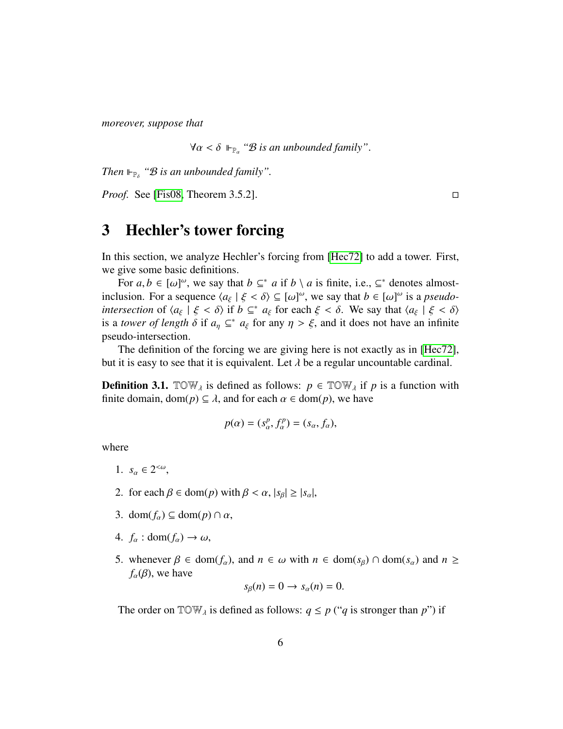*moreover, suppose that*

 $∀α < δ ⊢<sub>Γ<sub>α</sub></sub> "B is an unbounded family".$ 

Then  $\mathbb{H}_{\mathbb{P}_{\delta}}$  " $\mathcal{B}$  *is an unbounded family"*.

*Proof.* See [\[Fis08,](#page-20-3) Theorem 3.5.2]. □

# <span id="page-5-0"></span>3 Hechler's tower forcing

In this section, we analyze Hechler's forcing from [\[Hec72\]](#page-21-0) to add a tower. First, we give some basic definitions.

For  $a, b \in [\omega]^{\omega}$ , we say that  $b \subseteq^* a$  if  $b \setminus a$  is finite, i.e.,  $\subseteq^*$  denotes almost-<br>usion. For a sequence  $(a, \bot \xi \leq \delta) \subseteq [\omega]^{\omega}$  we say that  $b \in [\omega]^{\omega}$  is a nseudoinclusion. For a sequence  $\langle a_{\xi} | \xi \langle \delta \rangle \subseteq [\omega]^{\omega}$ , we say that  $b \in [\omega]^{\omega}$  is a *pseudo-*<br>intersection of  $\langle a_{\xi} | \xi \rangle \langle \delta \rangle$  if  $b \in \mathbb{R}^*$  as for each  $\xi \rangle \langle \delta$ . We say that  $\langle a_{\xi} | \xi \rangle \langle \delta \rangle$ *intersection* of  $\langle a_{\xi} | \xi < \delta \rangle$  if  $b \subseteq^* a_{\xi}$  for each  $\xi < \delta$ . We say that  $\langle a_{\xi} | \xi < \delta \rangle$ <br>is a *tower of length*  $\delta$  if  $a \subseteq^* a_{\xi}$  for any  $n > \xi$  and it does not have an infinite is a *tower of length*  $\delta$  if  $a_{\eta} \subseteq^* a_{\xi}$  for any  $\eta > \xi$ , and it does not have an infinite need-intersection pseudo-intersection.

The definition of the forcing we are giving here is not exactly as in [\[Hec72\]](#page-21-0), but it is easy to see that it is equivalent. Let  $\lambda$  be a regular uncountable cardinal.

**Definition 3.1.** TOW<sub> $\lambda$ </sub> is defined as follows:  $p \in \text{TOW}_{\lambda}$  if  $p$  is a function with finite domain, dom( $p$ )  $\subseteq \lambda$ , and for each  $\alpha \in \text{dom}(p)$ , we have

$$
p(\alpha) = (s_\alpha^p, f_\alpha^p) = (s_\alpha, f_\alpha),
$$

where

- 1.  $s_{\alpha} \in 2^{<\omega}$ ,
- 2. for each  $\beta \in \text{dom}(p)$  with  $\beta < \alpha$ ,  $|s_\beta| \ge |s_\alpha|$ ,
- 3. dom $(f_{\alpha}) \subseteq$  dom $(p) \cap \alpha$ ,
- 4.  $f_{\alpha}$  : dom( $f_{\alpha}$ )  $\rightarrow \omega$ ,
- 5. whenever  $\beta \in \text{dom}(f_\alpha)$ , and  $n \in \omega$  with  $n \in \text{dom}(s_\beta) \cap \text{dom}(s_\alpha)$  and  $n \geq$  $f_\alpha(\beta)$ , we have

$$
s_{\beta}(n)=0 \to s_{\alpha}(n)=0.
$$

The order on  $\mathbb{TOW}_\lambda$  is defined as follows:  $q \leq p$  ("*q* is stronger than *p*") if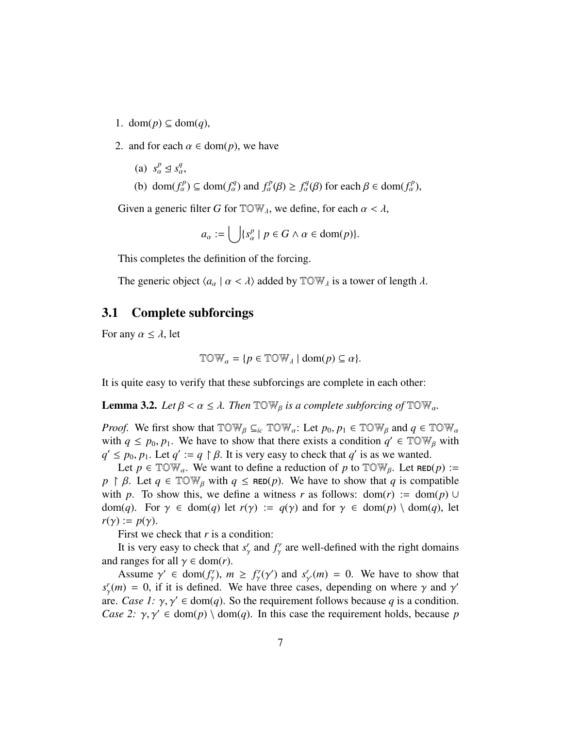- 1. dom(*p*) ⊆ dom(*q*),
- 2. and for each  $\alpha \in \text{dom}(p)$ , we have
	- (a)  $s_\alpha^p \leq s_\alpha^q$ ,
	- (b) dom $(f_\alpha^p) \subseteq \text{dom}(f_\alpha^q)$  and  $f_\alpha^p(\beta) \ge f_\alpha^q(\beta)$  for each  $\beta \in \text{dom}(f_\alpha^p)$ ,

Given a generic filter *G* for  $TOW_\lambda$ , we define, for each  $\alpha < \lambda$ ,

$$
a_{\alpha} := \bigcup \{ s_{\alpha}^p \mid p \in G \land \alpha \in \text{dom}(p) \}.
$$

This completes the definition of the forcing.

The generic object  $\langle a_\alpha | \alpha < \lambda \rangle$  added by  $\mathbb{T} \mathbb{O} \mathbb{W}_\lambda$  is a tower of length  $\lambda$ .

## <span id="page-6-0"></span>3.1 Complete subforcings

For any  $\alpha \leq \lambda$ , let

$$
\mathbb{TOW}_{\alpha} = \{ p \in \mathbb{TOW}_{\lambda} \mid \text{dom}(p) \subseteq \alpha \}.
$$

It is quite easy to verify that these subforcings are complete in each other:

<span id="page-6-1"></span>**Lemma 3.2.** *Let*  $\beta < \alpha \leq \lambda$ . *Then*  $\text{TOW}_{\beta}$  *is a complete subforcing of*  $\text{TOW}_{\alpha}$ .

*Proof.* We first show that  $\text{TOW}_{\beta} \subseteq_{ic} \text{TOW}_{\alpha}$ : Let  $p_0, p_1 \in \text{TOW}_{\beta}$  and  $q \in \text{TOW}_{\alpha}$ with  $q \le p_0, p_1$ . We have to show that there exists a condition  $q' \in TOW_B$  with  $q' \le p_0, p_1$ . Let  $q' = q \upharpoonright B$ . It is very easy to check that  $q'$  is as we wanted  $q' \leq p_0, p_1$ . Let  $q' := q \upharpoonright \beta$ . It is very easy to check that  $q'$  is as we wanted.<br>Let  $p \in \mathbb{T} \cap \mathbb{W}$ . We want to define a reduction of *n* to  $\mathbb{T} \cap \mathbb{W}$ . Let  $p \in \mathbb{R}$ 

Let  $p \in \text{TOW}_\alpha$ . We want to define a reduction of p to  $\text{TOW}_\beta$ . Let  $\text{RED}(p) :=$  $p \restriction \beta$ . Let  $q \in \mathbb{TOW}_\beta$  with  $q \leq \mathsf{RED}(p)$ . We have to show that *q* is compatible with *p*. To show this, we define a witness *r* as follows: dom(*r*) := dom(*p*) ∪ dom(*q*). For  $\gamma \in \text{dom}(q)$  let  $r(\gamma) := q(\gamma)$  and for  $\gamma \in \text{dom}(p) \setminus \text{dom}(q)$ , let  $r(\gamma) := p(\gamma)$ .

First we check that *r* is a condition:

It is very easy to check that  $s_1^r$ γ and *f r* γ are well-defined with the right domains and ranges for all  $\gamma \in \text{dom}(r)$ .

Assume  $\gamma' \in \text{dom}(f_{\gamma}^r)$ ,  $m \ge f_{\gamma}^r(\gamma')$  and  $s_{\gamma'}^r(m) = 0$ . We have to show that  $m = 0$  if it is defined. We have three cases, depending on where  $\gamma$  and  $\gamma'$  $s^r_\gamma(m) = 0$ , if it is defined. We have three cases, depending on where  $\gamma$  and  $\gamma'$ <br>are *Case 1:*  $\gamma$  *of*  $\epsilon$  dom(*a*). So the requirement follows because *a* is a condition. are. *Case 1:*  $\gamma$ ,  $\gamma' \in \text{dom}(q)$ . So the requirement follows because *q* is a condition.<br>*Case 2:*  $\gamma$ ,  $\gamma' \in \text{dom}(p) \setminus \text{dom}(q)$ . In this case the requirement holds, because *n Case 2:*  $\gamma$ ,  $\gamma' \in \text{dom}(p) \setminus \text{dom}(q)$ . In this case the requirement holds, because *p*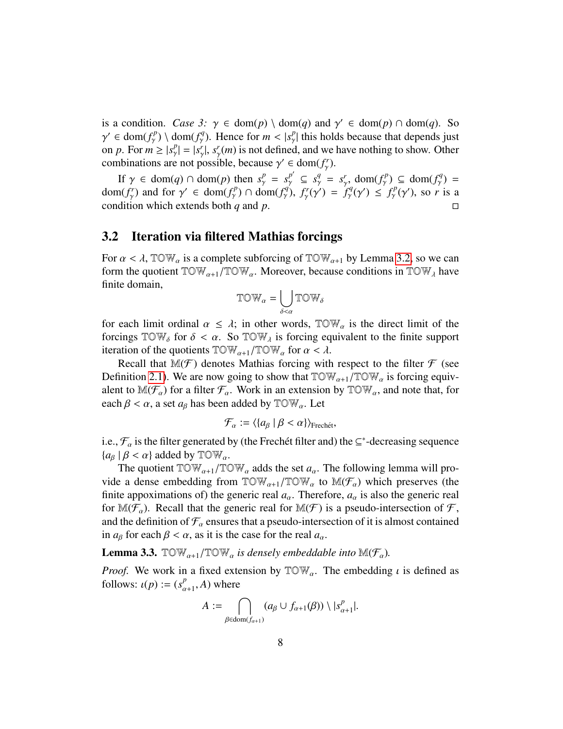is a condition. *Case 3:*  $\gamma \in \text{dom}(p) \setminus \text{dom}(q)$  and  $\gamma' \in \text{dom}(p) \cap \text{dom}(q)$ . So  $\gamma' \in \text{dom}(f^p) \setminus \text{dom}(f^q)$ . Hence for  $m < |s^p|$  this holds because that depends just on *p*. For  $m \ge |s_p^p| = |s_p^r|$ ,  $s_p^r(m)$  is not defined, and we have nothing to show. Other  $\alpha' \in \text{dom}(f_{\gamma}^p) \setminus \text{dom}(f_{\gamma}^q)$ . Hence for  $m < |s_{\gamma}^p|$  this holds because that depends just<br>p *n*. For  $m > |s_{\gamma}^p| - |s_{\gamma}^r|$   $s_{\gamma}^r(m)$  is not defined, and we have nothing to show. Other combinations are not possible, because  $\gamma' \in \text{dom}(f_{\gamma}')$ .

If  $\gamma \in \text{dom}(q) \cap \text{dom}(p)$  then  $s^p_\gamma = s^{p'}_\gamma \subseteq s^{q'}_\gamma = s^r_\gamma$ ,  $\text{dom}(f^p_\gamma) \subseteq \text{dom}(f^q_\gamma) =$ <br>  $\text{gcd}(f^p)$  and for  $\gamma' \in \text{dom}(f^p) \cap \text{dom}(f^q)$ ,  $f^r(\gamma') = f^q(\gamma') \leq f^p(\gamma')$  so r is a dom(*f<sub>γ</sub>*</sub>) and for  $\gamma' \in \text{dom}(f_\gamma^p) \cap \text{dom}(f_\gamma^q)$ ,  $f_\gamma^r(\gamma') = f$ <br>condition which extends both *a* and *n* condition which extends both *q* and *p*.  $f_{\gamma}^{r}(\gamma') = f_{\gamma}^{q}(\gamma') \leq f_{\gamma}^{p}(\gamma'),$  so *r* is a

## <span id="page-7-0"></span>3.2 Iteration via filtered Mathias forcings

For  $\alpha < \lambda$ , TOW<sub>α</sub> is a complete subforcing of TOW<sub>α+1</sub> by Lemma [3.2,](#page-6-1) so we can form the quotient  $TOW_{\alpha+1}/TOW_{\alpha}$ . Moreover, because conditions in  $TOW_{\lambda}$  have finite domain,

$$
\mathbb{TOW}_{\boldsymbol{\alpha}} = \bigcup_{\delta<\boldsymbol{\alpha}}\mathbb{TOW}_{\delta}
$$

for each limit ordinal  $\alpha \leq \lambda$ ; in other words,  $TOW_{\alpha}$  is the direct limit of the forcings  $TOW_{\alpha}$  for  $\delta \leq \alpha$ . So  $TOW_{\alpha}$  is forcing equivalent to the finite support forcings  $TOW_\delta$  for  $\delta < \alpha$ . So  $TOW_\lambda$  is forcing equivalent to the finite support iteration of the quotients  $TOW_{\alpha+1}/TOW_{\alpha}$  for  $\alpha < \lambda$ .

Recall that  $\mathbb{M}(\mathcal{F})$  denotes Mathias forcing with respect to the filter  $\mathcal F$  (see Definition [2.1\)](#page-2-1). We are now going to show that  $TOW_{\alpha+1}/TOW_{\alpha}$  is forcing equivalent to  $\mathbb{M}(\mathcal{F}_{\alpha})$  for a filter  $\mathcal{F}_{\alpha}$ . Work in an extension by  $\mathbb{T} \mathbb{O} \mathbb{W}_{\alpha}$ , and note that, for each  $\beta < \alpha$ , a set  $a_{\beta}$  has been added by  $\mathbb{T} \mathbb{O} \mathbb{W}_{\alpha}$ . Let

$$
\mathcal{F}_{\alpha} := \langle \{a_{\beta} \mid \beta < \alpha\} \rangle_{\text{Frechét}},
$$

i.e.,  $\mathcal{F}_{\alpha}$  is the filter generated by (the Frechét filter and) the  $\subseteq^*$ -decreasing sequence  ${a_{\beta} | \beta < \alpha}$  added by  $\mathbb{T} \mathbb{O} \mathbb{W}_{\alpha}$ .

The quotient  $TOW_{\alpha+1}/TOW_{\alpha}$  adds the set  $a_{\alpha}$ . The following lemma will provide a dense embedding from  $TOW_{\alpha+1}/TOW_{\alpha}$  to  $M(\mathcal{F}_{\alpha})$  which preserves (the finite appoximations of) the generic real  $a_{\alpha}$ . Therefore,  $a_{\alpha}$  is also the generic real for  $\mathbb{M}(\mathcal{F}_\alpha)$ . Recall that the generic real for  $\mathbb{M}(\mathcal{F})$  is a pseudo-intersection of  $\mathcal{F}$ , and the definition of  $\mathcal{F}_{\alpha}$  ensures that a pseudo-intersection of it is almost contained in  $a_{\beta}$  for each  $\beta < \alpha$ , as it is the case for the real  $a_{\alpha}$ .

<span id="page-7-1"></span>**Lemma 3.3.**  $\text{TOW}_{\alpha+1}/\text{TOW}_{\alpha}$  *is densely embeddable into*  $\text{M}(\mathcal{F}_{\alpha})$ *.* 

*Proof.* We work in a fixed extension by  $\mathbb{T} \mathbb{O} \mathbb{W}_{\alpha}$ . The embedding  $\iota$  is defined as follows:  $\iota(p) := (s^p_\alpha)$  $_{\alpha+1}^p$ , *A*) where

$$
A := \bigcap_{\beta \in \text{dom}(f_{\alpha+1})} (a_{\beta} \cup f_{\alpha+1}(\beta)) \setminus |s^p_{\alpha+1}|.
$$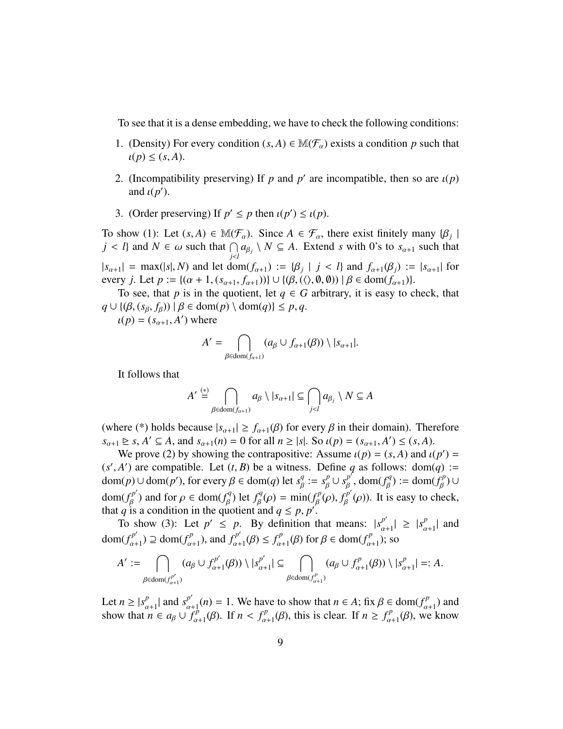To see that it is a dense embedding, we have to check the following conditions:

- 1. (Density) For every condition  $(s, A) \in M(\mathcal{F}_{\alpha})$  exists a condition p such that  $\iota(p) \leq (s, A).$
- 2. (Incompatibility preserving) If *p* and *p'* are incompatible, then so are  $\iota(p)$ <br>and  $\iota(p')$ and  $\iota(p')$ .
- 3. (Order preserving) If  $p' \le p$  then  $\iota(p') \le \iota(p)$ .

To show (1): Let  $(s, A) \in M(\mathcal{F}_{\alpha})$ . Since  $A \in \mathcal{F}_{\alpha}$ , there exist finitely many  $\{\beta_j \mid j < l\}$  and  $N \in \omega$  such that  $\bigcap a_{\alpha} \setminus N \subset A$ . Extends with  $0$ 's to see such that *j* < *l*} and *N* ∈ ω such that  $\bigcap_{j < l} a_{\beta_j} \setminus N \subseteq A$ . Extend *s* with 0's to  $s_{\alpha+1}$  such that *j*<*l*  $|s_{\alpha+1}| = \max(|s|, N)$  and let  $\text{dom}(f_{\alpha+1}) := {\beta_j | j < l}$  and  $f_{\alpha+1}(\beta_j) := |s_{\alpha+1}|$  for every *i* Let  $n := {(\alpha + 1)(s_{\alpha+1} + f(\beta)(\alpha + \beta)(\beta + \beta)) \cup {\beta \in \text{dom}(f_{\alpha+1})}}$ every *j*. Let  $p := \{(\alpha + 1, (s_{\alpha+1}, f_{\alpha+1}))\} \cup \{(\beta, (\langle), \emptyset, \emptyset) ) | \beta \in \text{dom}(f_{\alpha+1})\}.$ 

To see, that *p* is in the quotient, let  $q \in G$  arbitrary, it is easy to check, that  $q \cup \{(\beta, (s_{\beta}, f_{\beta})) \mid \beta \in \text{dom}(p) \setminus \text{dom}(q)\} \leq p, q.$ 

 $\iota(p) = (s_{\alpha+1}, A')$  where

$$
A' = \bigcap_{\beta \in \text{dom}(f_{\alpha+1})} (a_{\beta} \cup f_{\alpha+1}(\beta)) \setminus |s_{\alpha+1}|.
$$

It follows that

$$
A' \stackrel{(*)}{=} \bigcap_{\beta \in \text{dom}(f_{\alpha+1})} a_{\beta} \setminus |s_{\alpha+1}| \subseteq \bigcap_{j < l} a_{\beta_j} \setminus N \subseteq A
$$

(where (\*) holds because  $|s_{\alpha+1}| \ge f_{\alpha+1}(\beta)$  for every  $\beta$  in their domain). Therefore  $s_{\alpha+1} \geq s$ ,  $A' \subseteq A$ , and  $s_{\alpha+1}(n) = 0$  for all  $n \geq |s|$ . So  $\iota(p) = (s_{\alpha+1}, A') \leq (s, A)$ .<br>We prove (2) by showing the contrapositive: Assume  $\iota(p) = (s, A)$  and  $\iota(p)$ 

We prove (2) by showing the contrapositive: Assume  $\iota(p) = (s, A)$  and  $\iota(p') =$ <br>
4<sup>'</sup>) are compatible. Let  $(t, B)$  be a witness. Define a as follows: dom(a) :- $(s', A')$  are compatible. Let  $(t, B)$  be a witness. Define *q* as follows: dom(*q*) :=<br>dom(*n*)  $\lvert \text{dom}(n') \rvert$  for every  $B \in \text{dom}(a)$  let  $s^q := s^p + s^{p'}$  dom( $f^q$ ) := dom( $f^p$ ) | |  $\text{dom}(p) \cup \text{dom}(p'), \text{ for every } \beta \in \text{dom}(q) \text{ let } s_{\beta}^q := s_{\beta}^p \cup s_{\beta}^{p'} \text{, } \text{dom}(f_{\beta}^q) := \text{dom}(f_{\beta}^p) \cup$ dom( $f_B^{p'}$ ) and for  $\rho \in \text{dom}(f_B^q)$  let  $f_B^q(\rho) = \min(f_B^p(\rho), f_B^{p'}(\rho))$ . It is easy to che  $f_{\beta}^{p'}$ ) and for  $\rho \in \text{dom}(f_{\beta}^{q})$ β ) let  $f^q$  $\lim_{\beta}^{q}(\rho) = \min(f_{\beta}^{p})$ <br>and  $a \leq p \leq p'$  $f_{\beta}^{p}(\rho), f_{\beta}^{p'}$  $\int_{\beta}^{p} (\rho)$ ). It is easy to check, that *q* is a condition in the quotient and  $q \leq p, p'$ .<br>To show (3): Let  $p' \leq p$ . By definition to

To show (3): Let  $p' \leq p$ . By definition that means:  $|s_{\alpha+1}^{p'}| \geq |s_{\alpha}^{p'}|$ dom( $f_{\alpha+1}^{p'}$ )  $\supseteq$  dom( $f_{\alpha+1}^{p}$ ), and  $f_{\alpha+1}^{p'}(\beta) \leq f_{\alpha+1}^{p}(\beta)$  for  $\beta \in \text{dom}(f_{\alpha+1}^{p})$ ; s  $\binom{p}{\alpha+1}$  and  $\binom{p'}{a+1} \supseteq \text{dom}(f^p_{\alpha})$  $f_{\alpha+1}^{(p)}$ , and  $f_{\alpha+1}^{(p)}$  $f_{\alpha+1}^{p'}(\beta) \leq f_{\alpha}^{p}$  $\lim_{\alpha+1}$ (*β*) for  $\beta \in \text{dom}(f_{\alpha}^p)$  $\binom{p}{\alpha+1}$ ; so

$$
A' := \bigcap_{\beta \in \text{dom}(f_{\alpha+1}^{p'})} (a_{\beta} \cup f_{\alpha+1}^{p'}(\beta)) \setminus |s_{\alpha+1}^{p'}| \subseteq \bigcap_{\beta \in \text{dom}(f_{\alpha+1}^p)} (a_{\beta} \cup f_{\alpha+1}^p(\beta)) \setminus |s_{\alpha+1}^p| =: A.
$$

Let  $n \ge |s_{\alpha+1}^p|$  and  $s_{\alpha+1}^{p'}(n) = 1$ . We have to show that  $n \in A$ ; fix  $\beta \in \text{dom}(f_{\alpha+1}^p)$  and show that  $n \in a_{\beta} + f^p$  (*R*) If  $n \le f^p$  (*R*) this is clear. If  $n \ge f^p$  (*R*) we know show that  $n \in a_{\beta} \cup f_{\alpha+1}^p(\beta)$ . If  $n < f_{\alpha+1}^p(\beta)$ , this is clear. If  $n \ge f_{\alpha+1}^p(\beta)$ , we  $\lim_{\alpha+1}^{p}(\beta)$ . If  $n < f_{\alpha}^{p}$  $f_{\alpha+1}^p(\beta)$ , this is clear. If  $n \ge f_{\alpha}^p$ .  $C_{\alpha+1}^p(\beta)$ , we know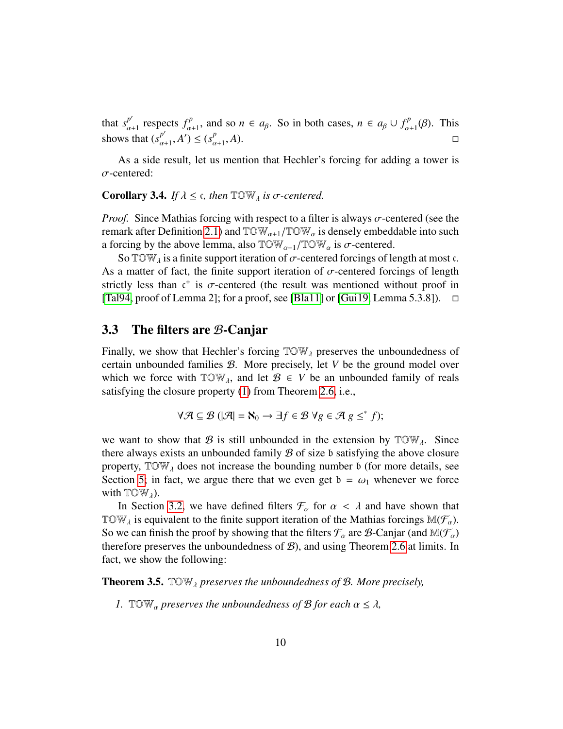that  $s_{\alpha+1}^{p'}$  respects  $f_{\alpha+1}^p$ , and so  $n \in a_\beta$ . So in both cases,  $n \in a_\beta \cup f_\alpha^p$ . shows that  $(s^{p'}_{\alpha+1}, A') \leq$  $C_{\alpha+1}^p(\beta)$ . This  $_{\alpha+1}^{p'}, A' \leq (s_{\alpha}^{p})$  $\alpha+1$ , *<sup>A</sup>*).

As a side result, let us mention that Hechler's forcing for adding a tower is σ-centered:

#### <span id="page-9-1"></span>**Corollary 3.4.** *If*  $\lambda \leq \epsilon$ , then  $\mathbb{T} \circ \mathbb{W}_{\lambda}$  *is*  $\sigma$ -centered.

*Proof.* Since Mathias forcing with respect to a filter is always  $\sigma$ -centered (see the remark after Definition [2.1\)](#page-2-1) and  $TOW_{\alpha+1}/TOW_{\alpha}$  is densely embeddable into such a forcing by the above lemma, also  $TOW_{\alpha+1}/TOW_{\alpha}$  is  $\sigma$ -centered.

So TOW<sub> $\lambda$ </sub> is a finite support iteration of  $\sigma$ -centered forcings of length at most c. As a matter of fact, the finite support iteration of  $\sigma$ -centered forcings of length strictly less than  $t^+$  is  $\sigma$ -centered (the result was mentioned without proof in<br>[Tal94, proof of Lemma 2]: for a proof, see [Bla111 or [Gui19, Lemma 5.3.81) [\[Tal94,](#page-21-3) proof of Lemma 2]; for a proof, see [\[Bla11\]](#page-20-4) or [\[Gui19,](#page-20-5) Lemma 5.3.8]).  $\Box$ 

## <span id="page-9-0"></span>3.3 The filters are B-Canjar

Finally, we show that Hechler's forcing  $TOW<sub>\lambda</sub>$  preserves the unboundedness of certain unbounded families B. More precisely, let *V* be the ground model over which we force with  $TOW_{\lambda}$ , and let  $\mathcal{B} \in V$  be an unbounded family of reals satisfying the closure property [\(1\)](#page-4-2) from Theorem [2.6,](#page-4-3) i.e.,

$$
\forall \mathcal{A} \subseteq \mathcal{B} \ (\mathcal{A} = \aleph_0 \to \exists f \in \mathcal{B} \ \forall g \in \mathcal{A} \ g \leq^* f);
$$

we want to show that B is still unbounded in the extension by  $\text{row}_{\lambda}$ . Since there always exists an unbounded family  $\mathcal B$  of size b satisfying the above closure property,  $TOW<sub>\lambda</sub>$  does not increase the bounding number b (for more details, see Section [5;](#page-19-0) in fact, we argue there that we even get  $b = \omega_1$  whenever we force with  $TOW_{\lambda}$ ).

In Section [3.2,](#page-7-0) we have defined filters  $\mathcal{F}_{\alpha}$  for  $\alpha < \lambda$  and have shown that TOW<sub>λ</sub> is equivalent to the finite support iteration of the Mathias forcings  $M(\mathcal{F}_{\alpha})$ .<br>So we get finish the grant having that the filters  $\mathcal{F}_{\alpha}$  are  $\mathcal{R}$  Capier (and  $M(\mathcal{F}_{\alpha})$ ). So we can finish the proof by showing that the filters  $\mathcal{F}_{\alpha}$  are  $\mathcal{B}$ -Canjar (and  $\mathbb{M}(\mathcal{F}_{\alpha})$ therefore preserves the unboundedness of  $B$ ), and using Theorem [2.6](#page-4-3) at limits. In fact, we show the following:

<span id="page-9-2"></span>Theorem 3.5. TOWλ *preserves the unboundedness of* <sup>B</sup>*. More precisely,*

*1.* TOW<sub>a</sub> preserves the unboundedness of  $\mathcal{B}$  for each  $\alpha \leq \lambda$ ,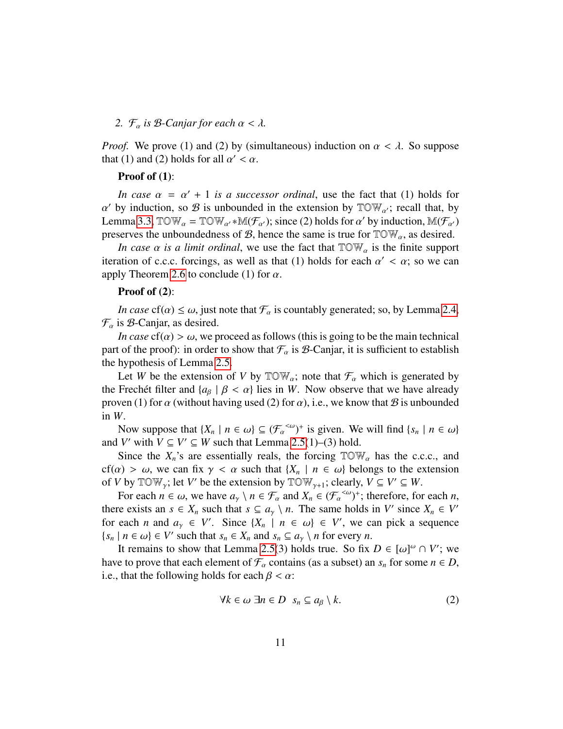#### *2.*  $\mathcal{F}_{\alpha}$  *is*  $\beta$ *-Canjar for each*  $\alpha < \lambda$ *.*

*Proof.* We prove (1) and (2) by (simultaneous) induction on  $\alpha < \lambda$ . So suppose that (1) and (2) holds for all  $\alpha' < \alpha$ .

#### Proof of (1):

*In case*  $\alpha = \alpha' + 1$  *is a successor ordinal*, use the fact that (1) holds for  $\alpha$  is a supposed in the extension by  $\alpha \leq \alpha$  is that by Lemma [3.3,](#page-7-1)  $\mathbb{T} \circ \mathbb{W}_{\alpha} = \mathbb{T} \circ \mathbb{W}_{\alpha'} * \mathbb{M}(\mathcal{F}_{\alpha'})$ ; since (2) holds for  $\alpha'$  by induction,  $\mathbb{M}(\mathcal{F}_{\alpha'})$  $\alpha'$  by induction, so  $\beta$  is unbounded in the extension by  $\mathbb{T} \mathbb{O} \mathbb{W}_{\alpha'}$ ; recall that, by preserves the unboundedness of  $\mathcal{B}$ , hence the same is true for  $TOW_{\alpha}$ , as desired.

*In case*  $\alpha$  *is a limit ordinal*, we use the fact that  $TOW_{\alpha}$  is the finite support iteration of c.c.c. forcings, as well as that (1) holds for each  $\alpha' < \alpha$ ; so we can<br>apply Theorem 2.6 to conclude (1) for  $\alpha$ apply Theorem [2.6](#page-4-3) to conclude (1) for  $\alpha$ .

#### Proof of (2):

*In case* cf( $\alpha$ )  $\leq \omega$ , just note that  $\mathcal{F}_{\alpha}$  is countably generated; so, by Lemma [2.4,](#page-3-3)  $\mathcal{F}_{\alpha}$  is  $\beta$ -Canjar, as desired.

*In case*  $cf(\alpha) > \omega$ , we proceed as follows (this is going to be the main technical part of the proof): in order to show that  $\mathcal{F}_{\alpha}$  is  $\beta$ -Canjar, it is sufficient to establish the hypothesis of Lemma [2.5.](#page-4-4)

Let *W* be the extension of *V* by  $\mathbb{T} \mathbb{O} \mathbb{W}_\alpha$ ; note that  $\mathcal{F}_\alpha$  which is generated by the Frechet filter and  $\{a_{\beta} \mid \beta < \alpha\}$  lies in *W*. Now observe that we have already proven (1) for  $\alpha$  (without having used (2) for  $\alpha$ ), i.e., we know that  $\beta$  is unbounded in *W*.

Now suppose that  $\{X_n \mid n \in \omega\} \subseteq (\mathcal{F}_{\alpha}^{<\omega})^+$  is given. We will find  $\{s_n \mid n \in \omega\}$ <br>*V'* with  $V \subset V' \subset W$  such that Lemma 2.5(1)–(3) hold and *V'* with  $V \subseteq V' \subseteq W$  such that Lemma [2.5\(](#page-4-4)1)–(3) hold.

Since the  $X_n$ 's are essentially reals, the forcing  $TOW_\alpha$  has the c.c.c., and cf( $\alpha$ ) >  $\omega$ , we can fix  $\gamma < \alpha$  such that  $\{X_n \mid n \in \omega\}$  belongs to the extension of *V* by  $\mathbb{T} \mathbb{O} \mathbb{W}_{\gamma}$ ; let *V'* be the extension by  $\mathbb{T} \mathbb{O} \mathbb{W}_{\gamma+1}$ ; clearly,  $V \subseteq V' \subseteq W$ .

For each  $n \in \omega$ , we have  $a_{\gamma} \setminus n \in \mathcal{F}_{\alpha}$  and  $X_n \in (\mathcal{F}_{\alpha}^{<\omega})^+$ ; therefore, for each *n*, re exists an  $s \in X$  such that  $s \in \alpha \setminus n$ . The same holds in V' since  $X \in V'$ . there exists an  $s \in X_n$  such that  $s \subseteq a_\gamma \setminus n$ . The same holds in *V'* since  $X_n \in V'$ <br>for each *n* and  $s \in Y'$ . Since  $(Y \cup \{x, y\}) \in V'$ , we see right a convenience for each *n* and  $a_y \in V'$ . Since  $\{X_n \mid n \in \omega\} \in V'$ , we can pick a sequence  $\{s_n \mid n \in \omega\} \in V'$  such that  $s_n \in X_n$  and  $s_n \subseteq a_\gamma \setminus n$  for every *n*.<br>It remains to show that I emma 2.5(3) holds true. So fix

It remains to show that Lemma [2.5\(](#page-4-4)3) holds true. So fix  $D \in [\omega]^\omega \cap V'$ ; we get to prove that each element of  $\mathcal F$  contains (as a subset) an s for some  $n \in D$ have to prove that each element of  $\mathcal{F}_{\alpha}$  contains (as a subset) an  $s_n$  for some  $n \in D$ , i.e., that the following holds for each  $\beta < \alpha$ :

<span id="page-10-0"></span>
$$
\forall k \in \omega \; \exists n \in D \; s_n \subseteq a_\beta \setminus k. \tag{2}
$$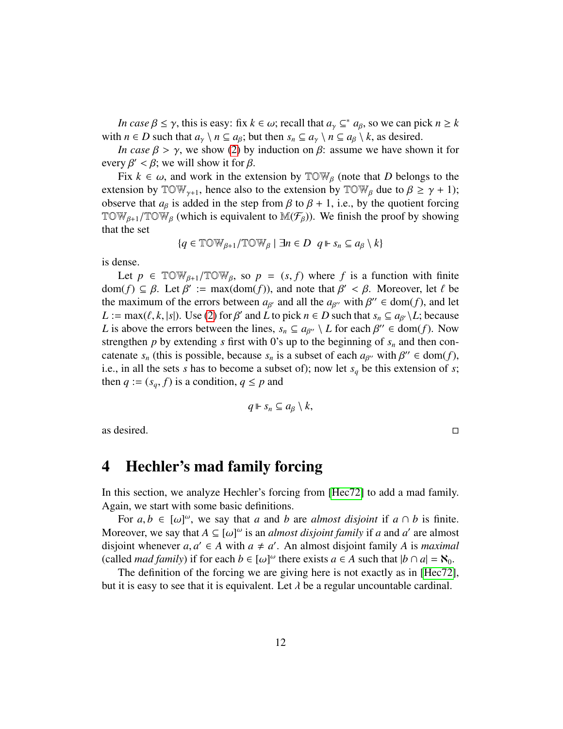*In case*  $\beta \leq \gamma$ , this is easy: fix  $k \in \omega$ ; recall that  $a_{\gamma} \subseteq^* a_{\beta}$ , so we can pick  $n \geq k$ <br>*a*  $n \in D$  such that  $a_{\gamma} \setminus n \subseteq a_{\gamma}$  but then  $s \subseteq a_{\gamma} \setminus n \subseteq a_{\gamma} \setminus k$  as desired with  $n \in D$  such that  $a_{\gamma} \setminus n \subseteq a_{\beta}$ ; but then  $s_n \subseteq a_{\gamma} \setminus n \subseteq a_{\beta} \setminus k$ , as desired.

*In case*  $\beta > \gamma$ , we show [\(2\)](#page-10-0) by induction on  $\beta$ : assume we have shown it for every  $\beta' < \beta$ ; we will show it for  $\beta$ .<br>Fix  $k \in \omega$  and work in the ex-

Fix  $k \in \omega$ , and work in the extension by  $\mathbb{T} \mathbb{O} \mathbb{W}_{\beta}$  (note that D belongs to the extension by  $\mathbb{T} \mathbb{O} \mathbb{W}_{\gamma+1}$ , hence also to the extension by  $\mathbb{T} \mathbb{O} \mathbb{W}_{\beta}$  due to  $\beta \geq \gamma + 1$ ); observe that  $a_{\beta}$  is added in the step from  $\beta$  to  $\beta + 1$ , i.e., by the quotient forcing TOW<sub>β+1</sub>/TOW<sub>β</sub> (which is equivalent to M( $\mathcal{F}_{\beta}$ )). We finish the proof by showing that the set that the set

$$
\{q\in\mathbb{TOW}_{\beta+1}/\mathbb{TOW}_{\beta}\mid \exists n\in D\;\; q\Vdash s_n\subseteq a_\beta\setminus k\}
$$

is dense.

Let  $p \in \text{TOW}_{\beta+1}/\text{TOW}_{\beta}$ , so  $p = (s, f)$  where f is a function with finite dom(*f*)  $\subseteq \beta$ . Let  $\beta' := \max(\text{dom}(f))$ , and note that  $\beta' < \beta$ . Moreover, let  $\ell$  be the maximum of the errors between  $a_{\infty}$  and all the  $a_{\infty}$  with  $\beta'' \in \text{dom}(f)$  and let the maximum of the errors between  $a_{\beta'}$  and all the  $a_{\beta''}$  with  $\beta'' \in \text{dom}(f)$ , and let  $I := \max(\beta, k | s|)$ . Use (2) for  $\beta'$  and *I* to pick  $n \in D$  such that  $s \in \mathcal{Q}_{\alpha}$ , *I* the cause *L* := max( $\ell$ , *k*, |*s*|). Use [\(2\)](#page-10-0) for  $\beta'$  and *L* to pick  $n \in D$  such that  $s_n \subseteq a_{\beta'} \setminus L$ ; because *L* is above the errors between the lines  $s \subseteq a_{\beta'} \setminus L$  for each  $\beta'' \in dom(f)$ . Now *L* is above the errors between the lines,  $s_n \subseteq a_{\beta''} \setminus L$  for each  $\beta'' \in \text{dom}(f)$ . Now strengthen *n* by extending s first with 0's up to the beginning of s, and then constrengthen *p* by extending *s* first with 0's up to the beginning of *s<sup>n</sup>* and then concatenate  $s_n$  (this is possible, because  $s_n$  is a subset of each  $a_{\beta''}$  with  $\beta'' \in \text{dom}(f)$ , i.e. in all the sets s has to become a subset of); now let s, be this extension of s; i.e., in all the sets *s* has to become a subset of); now let *s<sup>q</sup>* be this extension of *s*; then  $q := (s_q, f)$  is a condition,  $q \leq p$  and

$$
q \Vdash s_n \subseteq a_\beta \setminus k,
$$

as desired.  $\Box$ 

# <span id="page-11-0"></span>4 Hechler's mad family forcing

In this section, we analyze Hechler's forcing from [\[Hec72\]](#page-21-0) to add a mad family. Again, we start with some basic definitions.

For  $a, b \in [\omega]^{\omega}$ , we say that *a* and *b* are *almost disjoint* if  $a \cap b$  is finite.<br>request we say that  $A \subseteq [\omega]^{\omega}$  is an *almost disjoint family* if *a* and *a'* are almost Moreover, we say that  $A \subseteq [\omega]^\omega$  is an *almost disjoint family* if *a* and *a'* are almost disjoint whenever *a a'*  $\in$  *A* with  $a \neq a'$ . An almost disjoint family *A* is *maximal* disjoint whenever  $a, a' \in A$  with  $a \neq a'$ . An almost disjoint family *A* is *maximal* (called *mad family*) if for each  $b \in [a]$ <sup>1</sup> there exists  $a \in A$  such that  $|b \cap a| = \aleph_0$ (called *mad family*) if for each  $b \in [\omega]^{\omega}$  there exists  $a \in A$  such that  $|b \cap a| = \aleph_0$ .<br>The definition of the forcing we are giving here is not exactly as in [Hec72]

The definition of the forcing we are giving here is not exactly as in [\[Hec72\]](#page-21-0), but it is easy to see that it is equivalent. Let  $\lambda$  be a regular uncountable cardinal.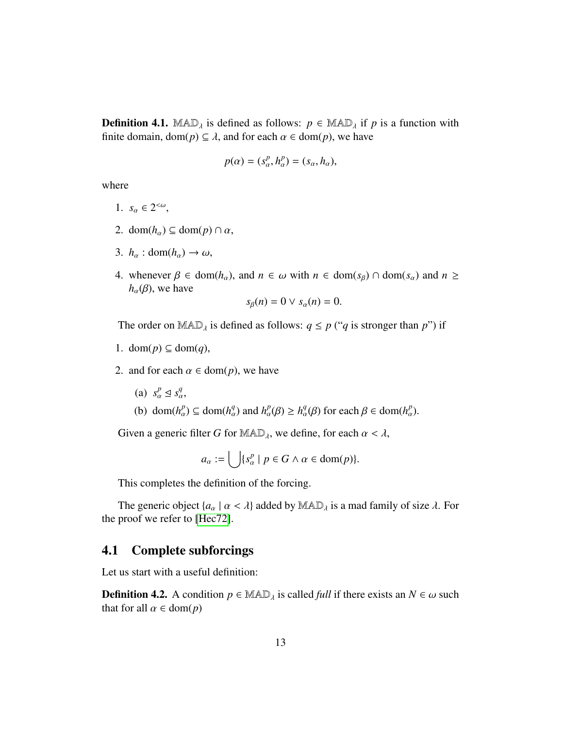**Definition 4.1.** MAD<sub> $\lambda$ </sub> is defined as follows:  $p \in \text{MAD}_{\lambda}$  if p is a function with finite domain, dom( $p$ )  $\subseteq \lambda$ , and for each  $\alpha \in \text{dom}(p)$ , we have

$$
p(\alpha) = (s_\alpha^p, h_\alpha^p) = (s_\alpha, h_\alpha),
$$

where

- 1.  $s_{\alpha} \in 2^{<\omega}$ ,
- 2. dom( $h_{\alpha}$ )  $\subseteq$  dom( $p$ )  $\cap$   $\alpha$ ,
- 3.  $h_{\alpha}$  : dom( $h_{\alpha}$ )  $\rightarrow \omega$ ,
- 4. whenever  $\beta \in \text{dom}(h_{\alpha})$ , and  $n \in \omega$  with  $n \in \text{dom}(s_{\beta}) \cap \text{dom}(s_{\alpha})$  and  $n \geq$  $h_{\alpha}(\beta)$ , we have  $(n) = 0 \vee a(n) =$

$$
s_{\beta}(n) = 0 \vee s_{\alpha}(n) = 0.
$$

The order on  $\text{MAD}_\lambda$  is defined as follows:  $q \leq p$  ("*q* is stronger than *p*") if

- 1. dom(*p*) ⊆ dom(*q*),
- 2. and for each  $\alpha \in \text{dom}(p)$ , we have
	- (a)  $s_\alpha^p \leq s_\alpha^q$ ,
	- (b) dom( $h_{\alpha}^p$ )  $\subseteq$  dom( $h_{\alpha}^q$ ) and  $h_{\alpha}^p(\beta) \ge h_{\alpha}^q(\beta)$  for each  $\beta \in \text{dom}(h_{\alpha}^p)$ .

Given a generic filter *G* for  $\text{MAD}_\lambda$ , we define, for each  $\alpha < \lambda$ ,

$$
a_{\alpha} := \bigcup \{ s_{\alpha}^p \mid p \in G \land \alpha \in \text{dom}(p) \}.
$$

This completes the definition of the forcing.

The generic object  $\{a_{\alpha} \mid \alpha < \lambda\}$  added by  $\text{MAD}_{\lambda}$  is a mad family of size  $\lambda$ . For the proof we refer to [\[Hec72\]](#page-21-0).

# <span id="page-12-0"></span>4.1 Complete subforcings

Let us start with a useful definition:

**Definition 4.2.** A condition  $p \in \mathbb{MAD}_\lambda$  is called *full* if there exists an  $N \in \omega$  such that for all  $\alpha \in \text{dom}(p)$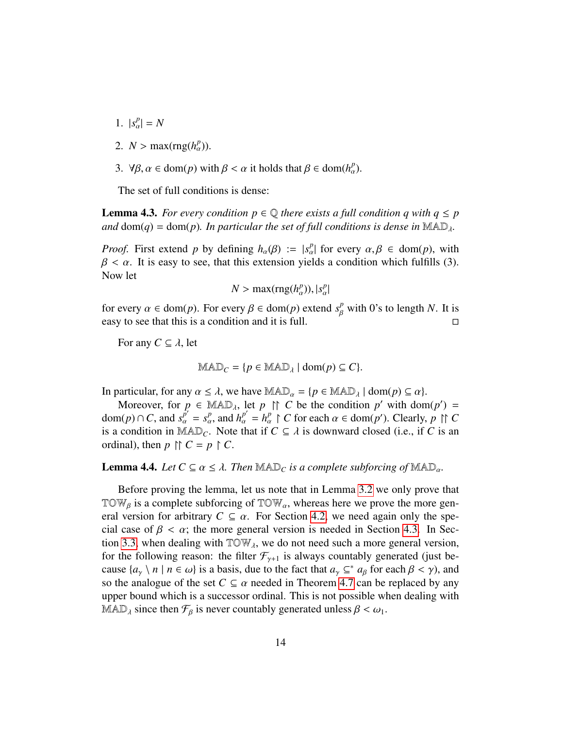- 1.  $|s_{\alpha}^{p}| = N$
- 2.  $N > \max(\text{rng}(h_{\alpha}^p)).$
- 3.  $\forall \beta, \alpha \in \text{dom}(p) \text{ with } \beta < \alpha \text{ it holds that } \beta \in \text{dom}(h_{\alpha}^p).$

The set of full conditions is dense:

<span id="page-13-1"></span>**Lemma 4.3.** *For every condition*  $p \in \mathbb{Q}$  *there exists a full condition q with*  $q \leq p$ *and* dom(*q*) = dom(*p*)*. In particular the set of full conditions is dense in*  $\text{MAD}_{\lambda}$ *.* 

*Proof.* First extend *p* by defining  $h_{\alpha}(\beta) := |s_{\alpha}^p|$  for every  $\alpha, \beta \in \text{dom}(p)$ , with  $\beta < \alpha$ . It is easy to see, that this extension vields a condition which fulfills (3).  $\beta < \alpha$ . It is easy to see, that this extension yields a condition which fulfills (3). Now let

$$
N > \max(\text{rng}(h_{\alpha}^p)), |s_{\alpha}^p|
$$

for every  $\alpha \in \text{dom}(p)$ . For every  $\beta \in \text{dom}(p)$  extend  $s_{\beta}^p$  with 0's to length *N*. It is easy to see that this is a condition and it is full.  $\Box$ 

For any  $C \subseteq \lambda$ , let

$$
MAD_C = \{p \in MAD_{\lambda} \mid \text{dom}(p) \subseteq C\}.
$$

In particular, for any  $\alpha \leq \lambda$ , we have  $\text{MAD}_{\alpha} = \{p \in \text{MAD}_{\lambda} \mid \text{dom}(p) \subseteq \alpha\}.$ 

Moreover, for  $p \in \text{MAD}_{\lambda}$ , let  $p \uparrow \uparrow C$  be the condition  $p'$  with dom( $p'$ ) = dom(*p*) ∩ *C*, and  $s_{\alpha}^{p'} = s_{\alpha}^p$ , and  $h_{\alpha}^{p'} = h_{\alpha}^p \upharpoonright C$  for each  $\alpha \in \text{dom}(p')$ . Clearly,  $p \upharpoonright C$  is a condition in MA  $\mathbb{D}_{\alpha}$ . Note that if  $C \subset \lambda$  is downward closed (i.e., if *C* is an is a condition in MAD<sub>C</sub>. Note that if  $C \subseteq \lambda$  is downward closed (i.e., if C is an ordinal), then  $p \uparrow \uparrow C = p \uparrow C$ .

## <span id="page-13-0"></span>**Lemma 4.4.** *Let*  $C \subseteq \alpha \leq \lambda$ . *Then*  $\text{MAD}_C$  *is a complete subforcing of*  $\text{MAD}_\alpha$ *.*

Before proving the lemma, let us note that in Lemma [3.2](#page-6-1) we only prove that TOW<sub>β</sub> is a complete subforcing of TOW<sub>α</sub>, whereas here we prove the more gen-<br>and varying for arbitrary  $C \subseteq \mathbb{R}$  For Saction 4.2, we need again and the grap eral version for arbitrary  $C \subseteq \alpha$ . For Section [4.2,](#page-14-0) we need again only the special case of  $\beta < \alpha$ ; the more general version is needed in Section [4.3.](#page-16-0) In Sec-tion [3.3,](#page-9-0) when dealing with  $TOW<sub>A</sub>$ , we do not need such a more general version, for the following reason: the filter  $\mathcal{F}_{\gamma+1}$  is always countably generated (just because  $\{a_{\gamma} \setminus n \mid n \in \omega\}$  is a basis, due to the fact that  $a_{\gamma} \subseteq^* a_{\beta}$  for each  $\beta < \gamma$ ), and so the analogue of the set  $C \subseteq \alpha$  peeded in Theorem 4.7 can be replaced by any so the analogue of the set  $C \subseteq \alpha$  needed in Theorem [4.7](#page-17-0) can be replaced by any upper bound which is a successor ordinal. This is not possible when dealing with MAD<sub> $\lambda$ </sub> since then  $\mathcal{F}_{\beta}$  is never countably generated unless  $\beta < \omega_1$ .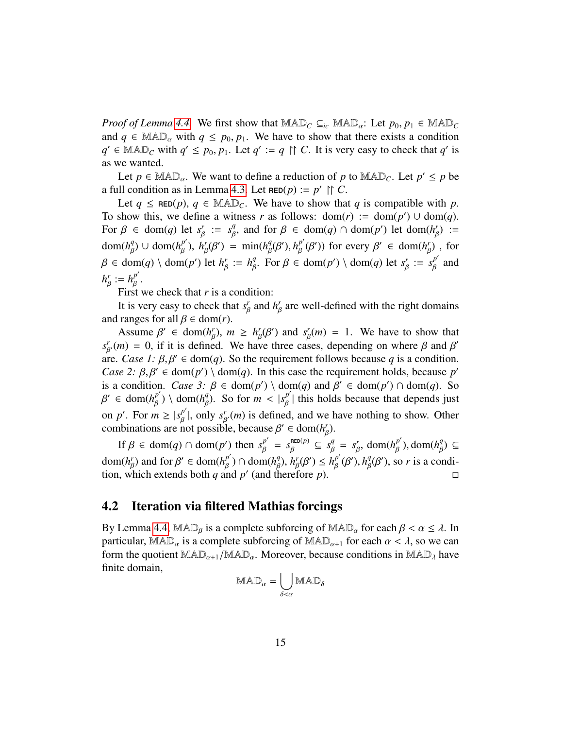*Proof of Lemma [4.4.](#page-13-0)* We first show that  $\text{MAD}_C \subseteq_{ic} \text{MAD}_\alpha$ : Let  $p_0, p_1 \in \text{MAD}_C$ and  $q \in \text{MAD}_{\alpha}$  with  $q \leq p_0, p_1$ . We have to show that there exists a condition  $q' \in \text{MAD}_C$  with  $q' \leq p_0, p_1$ . Let  $q' := q \upharpoonright C$ . It is very easy to check that  $q'$  is as we wanted as we wanted.

Let  $p \in \text{MAD}_{\alpha}$ . We want to define a reduction of *p* to  $\text{MAD}_{C}$ . Let  $p' \leq p$  be <br>let explicit a sain Languar 4.2. Let  $\text{Cov}(p)$  is  $p' \uparrow p$ . a full condition as in Lemma [4.3.](#page-13-1) Let  $\text{RED}(p) := p' \upharpoonright C$ .

Let  $q \leq \text{RED}(p)$ ,  $q \in \text{MAD}_c$ . We have to show that *q* is compatible with *p*. To show this, we define a witness *r* as follows:  $dom(r) := dom(p') \cup dom(q)$ . For  $\beta \in \text{dom}(q)$  let  $s_{\beta}^r := s_{\beta}^q$ , and for  $\beta \in \text{dom}(q) \cap \text{dom}(p')$  let  $\text{dom}(h_{\beta}^r) :=$  $dom(h_{\beta}^q) \cup dom(h_{\beta}^{p'})$ ,  $h_{\beta}^r(\beta') = min(h_{\beta}^q(\beta'), h_{\beta}^{p'}(\beta'))$  for every  $\beta' \in dom(h_{\beta}^r)$ , for  $\beta \in \text{dom}(q) \setminus \text{dom}(p')$  let  $h_{\beta}^r := h_{\beta}^q$ . For  $\beta \in \text{dom}(p') \setminus \text{dom}(q)$  let  $s_{\beta}^r := s$ β  $:= h^q$ <sup>*q*</sup>. For *β* ∈ dom(*p'*) \ dom(*q*) let *s<sup><i>r*</sup><sub>*f*</sub></sup> β  $:=$  $s_R^{p'}$ β and  $h^r_{\beta} := h^{p'}_{\beta}$ . β

First we check that  $r$  is a condition:

It is very easy to check that  $s<sub>f</sub>$ <sup>*r*</sup> β and  $h^r_{\beta}$ β are well-defined with the right domains and ranges for all  $\beta \in \text{dom}(r)$ .

Assume  $\beta' \in \text{dom}(h_{\beta}^r), m \ge h_{\beta}^r(\beta')$  and  $s_{\beta}^r(m) = 1$ . We have to show that  $m_1 = 0$  if it is defined. We have three cases, depending on where *B* and *B'*  $s_{\beta}^{r}(m) = 0$ , if it is defined. We have three cases, depending on where  $\beta$  and  $\beta'$ <br>are *Case 1: 8 β'*  $\epsilon$  dom(*a*). So the requirement follows because *a* is a condition are. *Case 1:*  $\beta$ ,  $\beta' \in \text{dom}(q)$ . So the requirement follows because *q* is a condition.<br>*Case 2:*  $\beta$ ,  $\beta' \in \text{dom}(n') \setminus \text{dom}(q)$ . In this case the requirement holds, because *n' Case 2:*  $\beta$ ,  $\beta' \in \text{dom}(p') \setminus \text{dom}(q)$ . In this case the requirement holds, because *p'*<br>is a condition. *Case* 3:  $\beta \in \text{dom}(p') \setminus \text{dom}(q)$  and  $\beta' \in \text{dom}(p') \cap \text{dom}(q)$ . So is a condition. *Case 3:*  $\beta \in \text{dom}(p') \setminus \text{dom}(q)$  and  $\beta' \in \text{dom}(p') \cap \text{dom}(q)$ . So  $\beta' \in \text{dom}(h^{p'}) \setminus \text{dom}(h^q)$ . So for  $m < |s^{p'}|$  this holds because that depends just on *p'*. For  $m \ge |s|_B^{p'}|$ , only  $s_{B'}^r(m)$  is defined, and we have nothing to show. Other  $\alpha' \in \text{dom}(h_{\beta}^{p'}) \setminus \text{dom}(h_{\beta}^{q})$ . So for  $m < |s_{\beta}^{p'}|$  this holds because that depends just combinations are not possible, because  $\beta' \in \text{dom}(h_{\beta}')$ .

If  $\beta \in \text{dom}(q) \cap \text{dom}(p')$  then  $s_\beta^{p'} = s_\beta^{\text{RED}(p)} \subseteq s_\beta^q = s_\beta^r$ ,  $\text{dom}(h_\beta^{p'})$ ,  $\text{dom}(h_\beta^q) \subseteq$ dom(*h<sub>β</sub>*)</sub> and for β' ∈ dom(*h<sub>β</sub>*<sup>p'</sup>) ∩ dom(*h<sub>β</sub>*</sub>), *h<sub>β</sub>*(β') ≤ *h<sub>β</sub><sup>p'</sup>(β')*, *h<sub>β</sub>*(β'), so *r* is a condi-<br>tion which extends both a and *n'* (and therefore *n*) tion, which extends both *q* and *p*<sup> $\prime$ </sup> (and therefore *p*). β β

# <span id="page-14-0"></span>4.2 Iteration via filtered Mathias forcings

By Lemma [4.4,](#page-13-0) MAD<sub>β</sub> is a complete subforcing of MAD<sub>α</sub> for each  $\beta < \alpha \leq \lambda$ . In particular, MAD<sub>α</sub> is a complete subforcing of MAD<sub>α+1</sub> for each  $\alpha < \lambda$ , so we can form the quotient  $\text{MAD}_{\alpha+1}/\text{MAD}_{\alpha}$ . Moreover, because conditions in  $\text{MAD}_{\lambda}$  have finite domain,

$$
\mathrm{MAD}_\alpha = \bigcup_{\delta<\alpha} \mathrm{MAD}_\delta
$$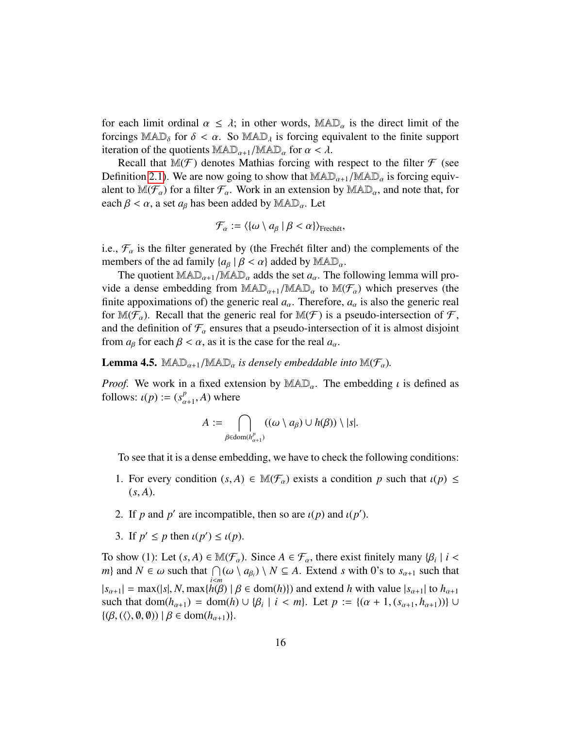for each limit ordinal  $\alpha \leq \lambda$ ; in other words,  $\mathbb{MAD}_{\alpha}$  is the direct limit of the forcings  $MAD_{\delta}$  for  $\delta < \alpha$ . So  $MAD_{\lambda}$  is forcing equivalent to the finite support iteration of the quotients  $\text{MAD}_{\alpha+1}/\text{MAD}_{\alpha}$  for  $\alpha < \lambda$ .

Recall that  $\mathbb{M}(\mathcal{F})$  denotes Mathias forcing with respect to the filter  $\mathcal F$  (see Definition [2.1\)](#page-2-1). We are now going to show that  $\text{MAD}_{\alpha+1}/\text{MAD}_{\alpha}$  is forcing equivalent to  $\mathbb{M}(\mathcal{F}_{\alpha})$  for a filter  $\mathcal{F}_{\alpha}$ . Work in an extension by  $\mathbb{M}AD_{\alpha}$ , and note that, for each  $\beta < \alpha$ , a set  $a_{\beta}$  has been added by MAD<sub>*a*</sub>. Let

$$
\mathcal{F}_{\alpha} := \langle \{\omega \setminus a_{\beta} \mid \beta < \alpha\} \rangle_{\text{Frech\acute{e}t}},
$$

i.e.,  $\mathcal{F}_{\alpha}$  is the filter generated by (the Frechet filter and) the complements of the members of the ad family  $\{a_{\beta} | \beta < \alpha\}$  added by  $\text{MAD}_{\alpha}$ .

The quotient  $\text{MAD}_{\alpha+1}/\text{MAD}_{\alpha}$  adds the set  $a_{\alpha}$ . The following lemma will provide a dense embedding from  $\text{MAD}_{\alpha+1}/\text{MAD}_{\alpha}$  to  $\text{M}(\mathcal{F}_{\alpha})$  which preserves (the finite appoximations of) the generic real  $a_{\alpha}$ . Therefore,  $a_{\alpha}$  is also the generic real for  $\mathbb{M}(\mathcal{F}_\alpha)$ . Recall that the generic real for  $\mathbb{M}(\mathcal{F})$  is a pseudo-intersection of  $\mathcal{F}$ , and the definition of  $\mathcal{F}_{\alpha}$  ensures that a pseudo-intersection of it is almost disjoint from  $a_\beta$  for each  $\beta < \alpha$ , as it is the case for the real  $a_\alpha$ .

<span id="page-15-0"></span>**Lemma 4.5.**  $\text{MAD}_{\alpha+1}/\text{MAD}_{\alpha}$  *is densely embeddable into*  $\text{M}(\mathcal{F}_{\alpha})$ *.* 

*Proof.* We work in a fixed extension by  $\mathbb{MAD}_{\alpha}$ . The embedding  $\iota$  is defined as follows:  $\iota(p) := (s^p_\alpha)$  $_{\alpha+1}^p$ , *A*) where

$$
A := \bigcap_{\beta \in \text{dom}(h_{\alpha+1}^p)} ((\omega \setminus a_{\beta}) \cup h(\beta)) \setminus |s|.
$$

To see that it is a dense embedding, we have to check the following conditions:

- 1. For every condition  $(s, A) \in \mathbb{M}(\mathcal{F}_{\alpha})$  exists a condition p such that  $\iota(p) \leq$  $(s, A)$ .
- 2. If *p* and *p*' are incompatible, then so are  $\iota(p)$  and  $\iota(p')$ .
- 3. If  $p' \leq p$  then  $\iota(p') \leq \iota(p)$ .

To show (1): Let  $(s, A) \in M(\mathcal{F}_\alpha)$ . Since  $A \in \mathcal{F}_\alpha$ , there exist finitely many  $\{\beta_i \mid i \leq m\}$  and  $N \in \alpha$  such that  $\bigcap (\alpha \setminus \alpha_{\alpha}) \setminus N \subset A$ . Extend s with  $0$ 's to see such that *m*} and  $N \in \omega$  such that  $\bigcap_{i \le m} (\omega \setminus a_{\beta_i}) \setminus N \subseteq A$ . Extend *s* with 0's to  $s_{\alpha+1}$  such that  $|s_{\alpha+1}| = \max(|s|, N, \max\{h(\beta) | \beta \in \text{dom}(h)\})$  and extend *h* with value  $|s_{\alpha+1}|$  to  $h_{\alpha+1}$ <br>such that  $\text{dom}(h_{\alpha+1}) = \text{dom}(h) \cup \{B_{\alpha+1} | s \in m\}$ . Let  $n := \{(x+1, (s_{\alpha+1}), h_{\alpha+1})\}$ such that  $dom(h_{\alpha+1}) = dom(h) \cup \{\beta_i \mid i < m\}$ . Let  $p := \{(\alpha + 1, (s_{\alpha+1}, h_{\alpha+1}))\} \cup \{(\beta, (\alpha + 1), (s_{\alpha+1}, h_{\alpha+1}))\}$  $\{(\beta, (\langle), \emptyset, \emptyset) ) \mid \beta \in \text{dom}(h_{\alpha+1})\}.$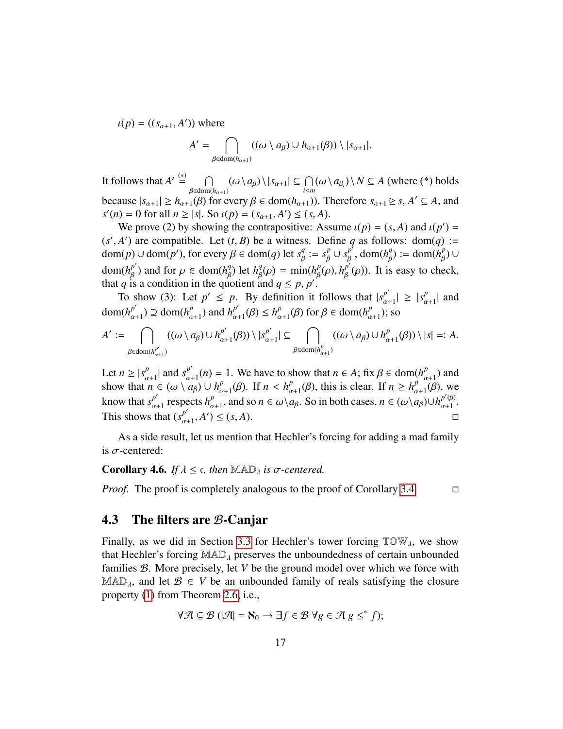$u(p) = ((s_{\alpha+1}, A'))$  where

$$
A' = \bigcap_{\beta \in \text{dom}(h_{\alpha+1})} ((\omega \setminus a_{\beta}) \cup h_{\alpha+1}(\beta)) \setminus |s_{\alpha+1}|.
$$

It follows that  $A' \stackrel{(*)}{=} \cap$  $\bigcap_{\beta \in \text{dom}(h_{\alpha+1})} (\omega \setminus a_{\beta}) \setminus |s_{\alpha+1}| \subseteq \bigcap_{i < m} (\omega \setminus a_{\beta_i}) \setminus N \subseteq A$  (where (\*) holds<br>
(0) for overvel  $\beta \in \text{dom}(h_{\alpha+1})$ ) Therefore  $s_n \in \mathbb{R}$  of  $A' \subseteq A$  and because  $|s_{\alpha+1}| \ge h_{\alpha+1}(\beta)$  for every  $\beta \in \text{dom}(h_{\alpha+1})$ ). Therefore  $s_{\alpha+1} \ge s, A' \subseteq A$ , and  $s'(n) = 0$  for all  $n > |s|$ . So  $\ell(n) = (s - A') \le (s - A)$ .  $s'(n) = 0$  for all  $n \ge |s|$ . So  $\iota(p) = (s_{\alpha+1}, A') \le (s, A)$ .<br>We prove (2) by showing the contrapositive: Ass

We prove (2) by showing the contrapositive: Assume  $\iota(p) = (s, A)$  and  $\iota(p') =$ <br>
4<sup>'</sup>) are compatible. Let  $(t, B)$  be a witness. Define a as follows: dom(a) :- $(s', A')$  are compatible. Let  $(t, B)$  be a witness. Define *q* as follows: dom(*q*) :=<br>dom(*n*)  $\log r \log r \log \frac{a}{r}$  for every  $\beta \in \text{dom}(a)$  let  $s^q := s^p + s^{p'}$  dom(*h*<sup>q</sup>) := dom(*h*<sup>p</sup>) :  $\text{dom}(p) \cup \text{dom}(p'), \text{ for every } \beta \in \text{dom}(q) \text{ let } s_{\beta}^q := s_{\beta}^p \cup s_{\beta}^{p^t}, \text{dom}(h_{\beta}^q) := \text{dom}(h_{\beta}^p) \cup$ dom(*h*<sup>*p'*</sup>) and for *ρ* ∈ dom(*h*<sup>*q*</sup></sup>) let *h*<sup>*q*</sup>(*ρ*) = min(*h*<sup>*p*</sup><sub>*β*</sub>(*ρ*), *h*<sup>*p'*</sup><sub>*β*</sub>(*ρ*)). It is easy to che that *a* is a condition in the quotient and *a* ≤ *n n'*<sup>*'*</sup> that *q* is a condition in the quotient and  $q \le p, p'$ .<br>To show (3): Let  $p' \le p$ . By definition it is  $_{\beta}^{p}(\rho)$ ). It is easy to check,

To show (3): Let  $p' \leq p$ . By definition it follows that  $|s_{\alpha+1}^{p'}| \geq |s_{\alpha}^{p'}|$  $\lim_{\alpha \to 1} h_{\alpha+1}^{p'} \geq 0$  and  $h_{\alpha+1}^{p'} \geq h_{\alpha+1}^{p'}$  ( $\beta$ )  $\leq h_{\alpha+1}^{p} \geq 0$  for  $\beta \in \text{dom}(h_{\alpha+1}^{p'})$ ; so  $\binom{p}{\alpha+1}$  and  $a_{\alpha+1}^{p'}$ )  $\supseteq$  dom( $h_{\alpha}^{p}$  $\binom{p}{\alpha+1}$  and  $h^{\overset{p'}{\alpha}}$  $h_{\alpha+1}^{p'}(\beta) \leq h_{\alpha}^{p}$  $_{\alpha+1}^p(\beta)$  for  $\beta \in \text{dom}(h_{\alpha}^p)$  $_{\alpha+1}^{p}$ ); so

$$
A' := \bigcap_{\beta \in \text{dom}(h_{\alpha+1}^{p'})} ((\omega \setminus a_{\beta}) \cup h_{\alpha+1}^{p'}(\beta)) \setminus |s_{\alpha+1}^{p'}| \subseteq \bigcap_{\beta \in \text{dom}(h_{\alpha+1}^{p})} ((\omega \setminus a_{\beta}) \cup h_{\alpha+1}^{p'}(\beta)) \setminus |s| =: A.
$$

Let  $n \geq |s_{\alpha}^p|$  $\begin{cases} \frac{p}{\alpha+1} \mid \text{ and } s_{\alpha}^{p'} \mid \\ n \in (\alpha) \setminus \alpha \end{cases}$  $\frac{p'}{a+1}(n) = 1$ . We have to show that  $n \in A$ ; fix  $\beta \in \text{dom}(h_p^p)$ <br>  $\frac{p}{a+1}(n) + \frac{p}{b+1}(n)$  If  $n \leq b^p$  (*B*) this is clear. If  $n \geq b^p$  $\binom{p}{\alpha+1}$  and  $\binom{p}{\alpha}$ show that  $n \in (\omega \setminus a_\beta) \cup h_\alpha^p$  $\lim_{\alpha+1}^{p}(\beta)$ . If  $n < h_{\alpha}^{p}$  $\frac{p}{\alpha+1}(\beta)$ , this is clear. If  $n \geq h_{\alpha}^p$  $\frac{p}{\alpha+1}(\beta)$ , we know that  $s^{p'}_{\alpha}$  $\frac{p'}{a+1}$  respects  $h^p_\alpha$ <br>that  $\left(\frac{-p'}{a}\right)^p$ *p*  $\alpha+1$ , and so  $n \in \omega \setminus a_{\beta}$ . So in both cases,  $n \in (\omega \setminus a_{\beta}) \cup h_{\alpha+1}^{p'(\beta)}$  $\begin{matrix} p & \varphi \\ \alpha+1 & \neg \end{matrix}$ This shows that  $(s^{p'}_{\alpha})$  $_{\alpha+1}^{p^{\prime}},A^{\prime}$  $\Box$   $\Box$   $\Box$ 

As a side result, let us mention that Hechler's forcing for adding a mad family is  $\sigma$ -centered:

<span id="page-16-1"></span>**Corollary 4.6.** *If*  $\lambda \leq \epsilon$ , then MAD<sub> $\lambda$ </sub> *is*  $\sigma$ -centered.

*Proof.* The proof is completely analogous to the proof of Corollary [3.4.](#page-9-1) □

# <span id="page-16-0"></span>4.3 The filters are B-Canjar

Finally, as we did in Section [3.3](#page-9-0) for Hechler's tower forcing  $TOW_\lambda$ , we show that Hechler's forcing  $MAD<sub>\lambda</sub>$  preserves the unboundedness of certain unbounded families B. More precisely, let *V* be the ground model over which we force with MAD<sub>λ</sub>, and let  $\mathcal{B} \in V$  be an unbounded family of reals satisfying the closure property [\(1\)](#page-4-2) from Theorem [2.6,](#page-4-3) i.e.,

$$
\forall \mathcal{A} \subseteq \mathcal{B} \ (\mathcal{A} = \aleph_0 \to \exists f \in \mathcal{B} \ \forall g \in \mathcal{A} \ g \leq^* f);
$$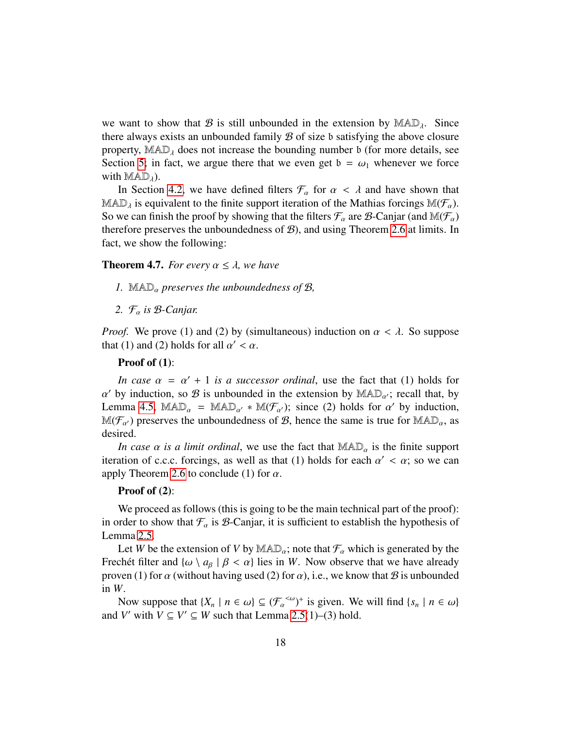we want to show that B is still unbounded in the extension by  $MAD<sub>λ</sub>$ . Since there always exists an unbounded family  $\mathcal B$  of size b satisfying the above closure property,  $\text{MAD}_\lambda$  does not increase the bounding number b (for more details, see Section [5;](#page-19-0) in fact, we argue there that we even get  $b = \omega_1$  whenever we force with  $MAD<sub>\lambda</sub>$ ).

In Section [4.2,](#page-14-0) we have defined filters  $\mathcal{F}_{\alpha}$  for  $\alpha < \lambda$  and have shown that MAD<sub>λ</sub> is equivalent to the finite support iteration of the Mathias forcings M( $\mathcal{F}_{\alpha}$ ).<br>So we get finish the graphic sharing that the filters  $\mathcal{F}_{\alpha}$  are  $\mathcal{R}$  Conjor (and  $\mathcal{M}(\mathcal{F}_{\alpha})$ ). So we can finish the proof by showing that the filters  $\mathcal{F}_{\alpha}$  are  $\mathcal{B}$ -Canjar (and  $\mathbb{M}(\mathcal{F}_{\alpha})$ therefore preserves the unboundedness of  $B$ ), and using Theorem [2.6](#page-4-3) at limits. In fact, we show the following:

### <span id="page-17-0"></span>**Theorem 4.7.** *For every*  $\alpha \leq \lambda$ *, we have*

- *1.* MADα *preserves the unboundedness of* <sup>B</sup>*,*
- *2.* <sup>F</sup>α *is* <sup>B</sup>*-Canjar.*

*Proof.* We prove (1) and (2) by (simultaneous) induction on  $\alpha < \lambda$ . So suppose that (1) and (2) holds for all  $\alpha' < \alpha$ .

#### Proof of (1):

*In case*  $\alpha = \alpha' + 1$  *is a successor ordinal*, use the fact that (1) holds for  $\alpha$  is unbounded in the extension by  $M \triangle \mathbb{D}$  *c* recall that by Lemma [4.5,](#page-15-0)  $\text{MAD}_{\alpha} = \text{MAD}_{\alpha'} * \text{M(F}_{\alpha'})$ ; since (2) holds for  $\alpha'$  by induction,<br> $\text{M(F)}$  by preserves the unboundedness of  $\beta$  bence the same is true for  $\text{MAD}$  as  $\alpha'$  by induction, so  $\beta$  is unbounded in the extension by  $\mathbb{MAD}_{\alpha'}$ ; recall that, by  $\mathbb{M}(\mathcal{F}_{\alpha})$  preserves the unboundedness of  $\mathcal{B}$ , hence the same is true for  $\mathbb{M}AD_{\alpha}$ , as desired.

*In case*  $\alpha$  *is a limit ordinal*, we use the fact that  $\text{MAD}_{\alpha}$  is the finite support iteration of c.c.c. forcings, as well as that (1) holds for each  $\alpha' < \alpha$ ; so we can<br>apply Theorem 2.6 to conclude (1) for  $\alpha$ apply Theorem [2.6](#page-4-3) to conclude (1) for  $\alpha$ .

#### Proof of (2):

We proceed as follows (this is going to be the main technical part of the proof): in order to show that  $\mathcal{F}_{\alpha}$  is  $\beta$ -Canjar, it is sufficient to establish the hypothesis of Lemma [2.5.](#page-4-4)

Let *W* be the extension of *V* by  $\text{MAD}_{\alpha}$ ; note that  $\mathcal{F}_{\alpha}$  which is generated by the Frechet filter and  $\{\omega \setminus a_{\beta} \mid \beta < \alpha\}$  lies in *W*. Now observe that we have already proven (1) for  $\alpha$  (without having used (2) for  $\alpha$ ), i.e., we know that  $\beta$  is unbounded in *W*.

Now suppose that  $\{X_n \mid n \in \omega\} \subseteq (\mathcal{F}_{\alpha}^{<\omega})^+$  is given. We will find  $\{s_n \mid n \in \omega\}$ <br>*V'* with  $V \subset V' \subset W$  such that Lemma 2.5(1)–(3) hold and *V'* with  $V \subseteq V' \subseteq W$  such that Lemma [2.5\(](#page-4-4)1)–(3) hold.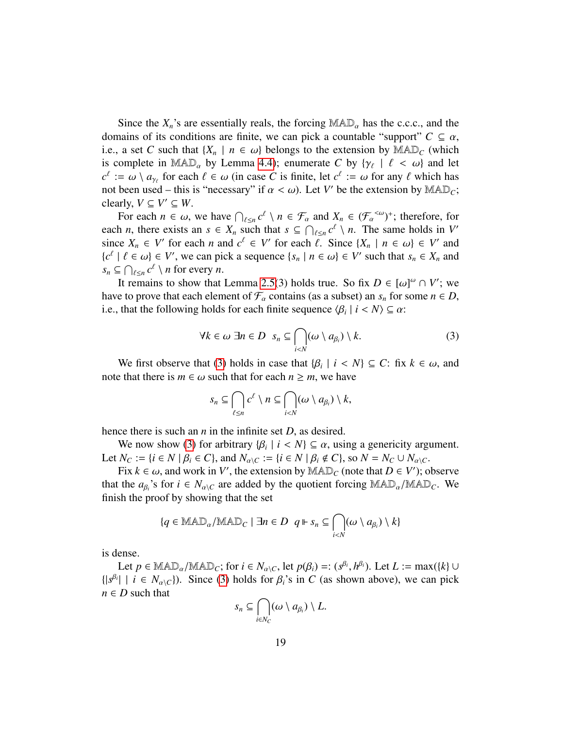Since the  $X_n$ 's are essentially reals, the forcing  $\text{MAD}_{\alpha}$  has the c.c.c., and the domains of its conditions are finite, we can pick a countable "support"  $C \subseteq \alpha$ , i.e., a set *C* such that  $\{X_n \mid n \in \omega\}$  belongs to the extension by  $\text{MAD}_C$  (which is complete in  $MAD_{\alpha}$  by Lemma [4.4\)](#page-13-0); enumerate *C* by  $\{\gamma_{\ell} \mid \ell < \omega\}$  and let  $c^{\ell} := \omega \setminus a$  for each  $\ell \in \omega$  (in case *C* is finite let  $c^{\ell} := \omega$  for any  $\ell$  which has  $c^{\ell} := \omega \setminus a_{\gamma_{\ell}}$  for each  $\ell \in \omega$  (in case *C* is finite, let  $c^{\ell} := \omega$  for any  $\ell$  which has not been used – this is "necessary" if  $\alpha \leq \omega$ ). Let *V'* be the extension by MAD. not been used – this is "necessary" if  $\alpha < \omega$ ). Let *V'* be the extension by MAD<sub>*C*</sub>;<br>clearly *V* ⊂ *V'* ⊂ *W* clearly,  $V \subseteq V' \subseteq W$ .

For each  $n \in \omega$ , we have  $\bigcap_{\ell \leq n} c^{\ell} \setminus n \in \mathcal{F}_{\alpha}$  and  $X_n \in (\mathcal{F}_{\alpha}^{<\omega})^+$ ; therefore, for each *n*, there exists an  $s \in X_n$  such that  $s \subseteq \bigcap_{\ell \leq n} c^{\ell} \setminus n$ . The same holds in *V'*<br>cince *Y*  $\subseteq N'$  for each *n* and  $c^{\ell} \subseteq V'$  for each  $\ell$ . Since  $(Y \cup n \subseteq \ell)'$  and since  $X_n \in V'$  for each *n* and  $c^{\ell} \in V'$  for each  $\ell$ . Since  $\{X_n \mid n \in \omega\} \in V'$  and  $f_c^{\ell} \mid \ell \in \omega \} \in V'$  we can pick a sequence  $\{s_n \mid n \in \omega\} \in V'$  such that  $s_n \in X$  and  ${c<sup>l</sup> \mid l \in \omega} \in V'$ , we can pick a sequence  ${s<sub>n</sub> \mid n \in \omega} \in V'$  such that  $s<sub>n</sub> \in X<sub>n</sub>$  and  $s \in \bigcap_{s \in \omega} c<sup>l</sup> \setminus n$  for every *n*  $s_n \subseteq \bigcap_{\ell \leq n} c^{\ell} \setminus n$  for every *n*.

It remains to show that Lemma [2.5\(](#page-4-4)3) holds true. So fix  $D \in [\omega]^\omega \cap V'$ ; we get to prove that each element of  $\mathcal F$  contains (as a subset) an s for some  $n \in D$ have to prove that each element of  $\mathcal{F}_{\alpha}$  contains (as a subset) an  $s_n$  for some  $n \in D$ , i.e., that the following holds for each finite sequence  $\langle \beta_i | i \rangle \leq \alpha$ :

<span id="page-18-0"></span>
$$
\forall k \in \omega \; \exists n \in D \; s_n \subseteq \bigcap_{i < N} (\omega \setminus a_{\beta_i}) \setminus k. \tag{3}
$$

We first observe that [\(3\)](#page-18-0) holds in case that  $\{\beta_i \mid i < N\} \subseteq C$ : fix  $k \in \omega$ , and that there is  $m \in \omega$  such that for each  $n \ge m$ , we have note that there is  $m \in \omega$  such that for each  $n \ge m$ , we have

$$
s_n \subseteq \bigcap_{\ell \leq n} c^{\ell} \setminus n \subseteq \bigcap_{i < N} (\omega \setminus a_{\beta_i}) \setminus k,
$$

hence there is such an *n* in the infinite set *D*, as desired.

We now show [\(3\)](#page-18-0) for arbitrary  $\{\beta_i \mid i < N\} \subseteq \alpha$ , using a genericity argument.<br>  $N_{\alpha} := \{i \in N \mid \beta_i \in C\}$  and  $N_{\alpha} := \{i \in N \mid \beta_i \notin C\}$  so  $N = N_{\alpha} + N_{\alpha}$ . Let  $N_C := \{i \in N \mid \beta_i \in C\}$ , and  $N_{\alpha \setminus C} := \{i \in N \mid \beta_i \notin C\}$ , so  $N = N_C \cup N_{\alpha \setminus C}$ .

Fix  $k \in \omega$ , and work in *V'*, the extension by MAD<sub>*C*</sub> (note that  $D \in V'$ ); observe<br>the g<sub>s</sub>'s for  $i \in N$  is are added by the quotient forcing MAD, (MAD<sub>G</sub>, We that the  $a_{\beta_i}$ 's for  $i \in N_{\alpha\setminus C}$  are added by the quotient forcing  $\text{MAD}_{\alpha}/\text{MAD}_{C}$ . We finish the proof by showing that the set finish the proof by showing that the set

$$
\{q \in \text{MAD}_{\alpha}/\text{MAD}_{C} \mid \exists n \in D \ \ q \Vdash s_{n} \subseteq \bigcap_{i < N} (\omega \setminus a_{\beta_{i}}) \setminus k\}
$$

is dense.

Let  $p \in \text{MAD}_{\alpha}/\text{MAD}_{C}$ ; for  $i \in N_{\alpha \setminus C}$ , let  $p(\beta_i) =: (s^{\beta_i}, h^{\beta_i})$ . Let  $L := \max(\{k\} \cup \text{L} \mid i \in N_{\alpha \setminus C})$ . Since (3) holds for  $\beta_i$ 's in  $C$  (as shown above), we can nick  $\{|s^{\beta_i}| \mid i \in N_{\alpha \setminus C}\}\)$ . Since [\(3\)](#page-18-0) holds for  $\beta_i$ 's in *C* (as shown above), we can pick  $n \in D$  such that  $n \in D$  such that

$$
s_n\subseteq \bigcap_{i\in N_C}(\omega\setminus a_{\beta_i})\setminus L.
$$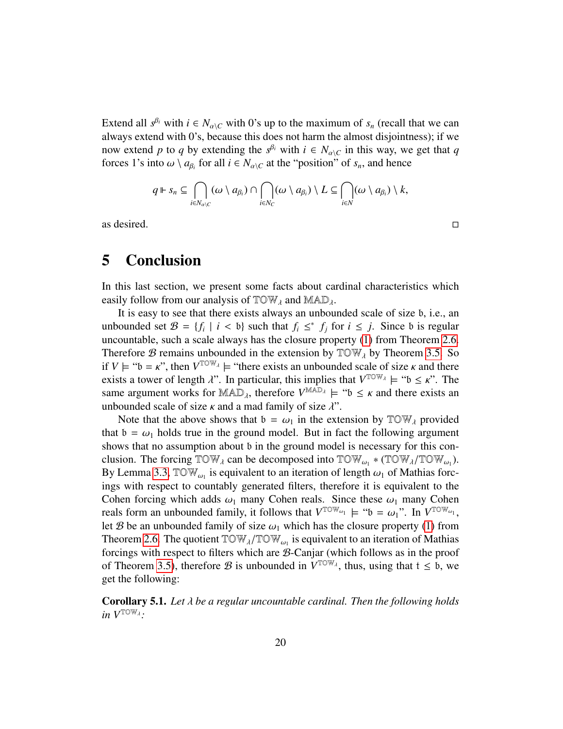Extend all  $s^{\beta_i}$  with  $i \in N_{\alpha\setminus C}$  with 0's up to the maximum of  $s_n$  (recall that we can always extend with 0's, because this does not harm the almost disjointness); if we now extend *p* to *q* by extending the  $s^{\beta_i}$  with  $i \in N_{\alpha\setminus C}$  in this way, we get that *q*<br>forces <sup>1</sup>*i*c inte *u*) a for all i.e. *N* at the "position" of a and hance forces 1's into  $\omega \setminus a_{\beta_i}$  for all  $i \in N_{\alpha \setminus C}$  at the "position" of  $s_n$ , and hence

$$
q \Vdash s_n \subseteq \bigcap_{i \in N_{\alpha \setminus C}} (\omega \setminus a_{\beta_i}) \cap \bigcap_{i \in N_C} (\omega \setminus a_{\beta_i}) \setminus L \subseteq \bigcap_{i \in N} (\omega \setminus a_{\beta_i}) \setminus k,
$$

as desired.  $\Box$ 

# <span id="page-19-0"></span>5 Conclusion

In this last section, we present some facts about cardinal characteristics which easily follow from our analysis of  $TOW<sub>\lambda</sub>$  and  $MAD<sub>\lambda</sub>$ .

It is easy to see that there exists always an unbounded scale of size b, i.e., an unbounded set  $\mathcal{B} = \{f_i \mid i < b\}$  such that  $f_i \leq^* f_j$  for  $i \leq j$ . Since b is regular uncountable such a scale always has the closure property (1) from Theorem 2.6 uncountable, such a scale always has the closure property [\(1\)](#page-4-2) from Theorem [2.6.](#page-4-3) Therefore B remains unbounded in the extension by  $TOW<sub>\lambda</sub>$  by Theorem [3.5.](#page-9-2) So if  $V \models ``b = \kappa$ ", then  $V^{TOW_A} \models ``there exists an unbounded scale of size  $\kappa$  and there exists a tower of length  $\lambda$ ". In particular, this implies that  $V^{TOW_A} \models ``b < \kappa"$  The$ exists a tower of length  $\lambda$ ". In particular, this implies that  $V^{TOW_{\lambda}} \models "b \leq \kappa$ ". The same argument works for  $\text{MAD}_\lambda$ , therefore  $V^{\text{MAD}_\lambda} \models$  " $\mathfrak{b} \leq \kappa$  and there exists an unbounded scale of size  $\kappa$  and a mad family of size  $\lambda$ " unbounded scale of size  $\kappa$  and a mad family of size  $\lambda$ ".

Note that the above shows that  $b = \omega_1$  in the extension by  $TOW_\lambda$  provided that  $b = \omega_1$  holds true in the ground model. But in fact the following argument shows that no assumption about b in the ground model is necessary for this conclusion. The forcing  $\text{TOW}_{\lambda}$  can be decomposed into  $\text{TOW}_{\omega_1} * (\text{TOW}_{\lambda}/\text{TOW}_{\omega_1})$ .<br>By Lemma 3.3 TOW is equivalent to an iteration of length  $\omega_1$  of Mathias forc-By Lemma [3.3,](#page-7-1)  $\mathbb{T} \mathbb{O} \mathbb{W}_{\omega_1}$  is equivalent to an iteration of length  $\omega_1$  of Mathias forc-<br>ings with respect to countably generated filters, therefore it is equivalent to the ings with respect to countably generated filters, therefore it is equivalent to the Cohen forcing which adds  $\omega_1$  many Cohen reals. Since these  $\omega_1$  many Cohen reals form an unbounded family, it follows that  $V^{TOW_{\omega_1}} \models$  " $\mathfrak{b} = \omega_1$ ". In  $V^{TOW_{\omega_1}}$ , let *R* be an unbounded family of size  $\omega_1$  which has the closure property (1) from let B be an unbounded family of size  $\omega_1$  which has the closure property [\(1\)](#page-4-2) from Theorem [2.6.](#page-4-3) The quotient  $TOW_{\lambda}/TOW_{\omega_1}$  is equivalent to an iteration of Mathias forcings with respect to filters which are *B*-Caniar (which follows as in the proof forcings with respect to filters which are B-Canjar (which follows as in the proof of Theorem [3.5\)](#page-9-2), therefore B is unbounded in  $V^{\text{TOW}_{\lambda}}$ , thus, using that  $t \leq b$ , we get the following:

<span id="page-19-1"></span>Corollary 5.1. *Let* λ *be a regular uncountable cardinal. Then the following holds in V*TOWλ *:*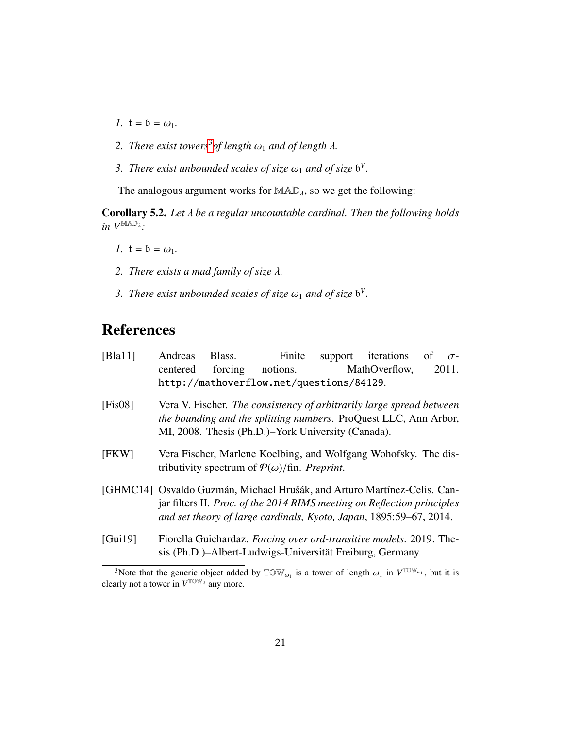- *1.*  $t = b = \omega_1$ .
- *2. There exist towers<sup>[3](#page-20-6)</sup> of length*  $\omega_1$  *and of length*  $\lambda$ *.*
- 3. *There exist unbounded scales of size*  $\omega_1$  *and of size*  $\mathfrak{b}^V$ .

The analogous argument works for  $MAD<sub>\lambda</sub>$ , so we get the following:

<span id="page-20-1"></span>Corollary 5.2. *Let* λ *be a regular uncountable cardinal. Then the following holds in V*MADλ *:*

- *1.*  $t = b = \omega_1$ .
- *2. There exists a mad family of size* λ*.*
- 3. *There exist unbounded scales of size*  $\omega_1$  *and of size*  $\mathfrak{b}^V$ .

# References

<span id="page-20-4"></span><span id="page-20-3"></span><span id="page-20-2"></span>

| [Bla11]                                                                                                                                                                                                                   | Andreas                                                                                                                                                                                        | Blass. |                  |  | Finite support iterations of |  | $\sigma$ - |  |
|---------------------------------------------------------------------------------------------------------------------------------------------------------------------------------------------------------------------------|------------------------------------------------------------------------------------------------------------------------------------------------------------------------------------------------|--------|------------------|--|------------------------------|--|------------|--|
|                                                                                                                                                                                                                           | centered                                                                                                                                                                                       |        | forcing notions. |  | MathOverflow,                |  | 2011.      |  |
|                                                                                                                                                                                                                           | http://mathoverflow.net/questions/84129.                                                                                                                                                       |        |                  |  |                              |  |            |  |
| [Fis08]                                                                                                                                                                                                                   | Vera V. Fischer. The consistency of arbitrarily large spread between<br>the bounding and the splitting numbers. ProQuest LLC, Ann Arbor,<br>MI, 2008. Thesis (Ph.D.)–York University (Canada). |        |                  |  |                              |  |            |  |
| [FKW]                                                                                                                                                                                                                     | Vera Fischer, Marlene Koelbing, and Wolfgang Wohofsky. The dis-<br>tributivity spectrum of $P(\omega)/\text{fin}$ . Preprint.                                                                  |        |                  |  |                              |  |            |  |
| [GHMC14] Osvaldo Guzmán, Michael Hrušák, and Arturo Martínez-Celis. Can-<br>jar filters II. Proc. of the 2014 RIMS meeting on Reflection principles<br>and set theory of large cardinals, Kyoto, Japan, 1895:59-67, 2014. |                                                                                                                                                                                                |        |                  |  |                              |  |            |  |
| [Gui19]                                                                                                                                                                                                                   | Fiorella Guichardaz. Forcing over ord-transitive models. 2019. The-<br>sis (Ph.D.)–Albert-Ludwigs-Universität Freiburg, Germany.                                                               |        |                  |  |                              |  |            |  |
| $3N$ other than the concrete object added by TOWI is a tower of langth $\sim$ in $V^{TOW_{\text{out}}}$ but it is                                                                                                         |                                                                                                                                                                                                |        |                  |  |                              |  |            |  |

<span id="page-20-6"></span><span id="page-20-5"></span><span id="page-20-0"></span><sup>&</sup>lt;sup>3</sup>Note that the generic object added by  $\mathbb{T} \mathbb{O} \mathbb{W}_{\omega_1}$  is a tower of length  $\omega_1$  in  $V^{\mathbb{T} \mathbb{O} \mathbb{W}}$ <br>arly not a tower in  $V^{\mathbb{T} \mathbb{O} \mathbb{W}}$  any more  $\omega_1$ , but it is clearly not a tower in  $V^{\text{TOW}_{\lambda}}$  any more.